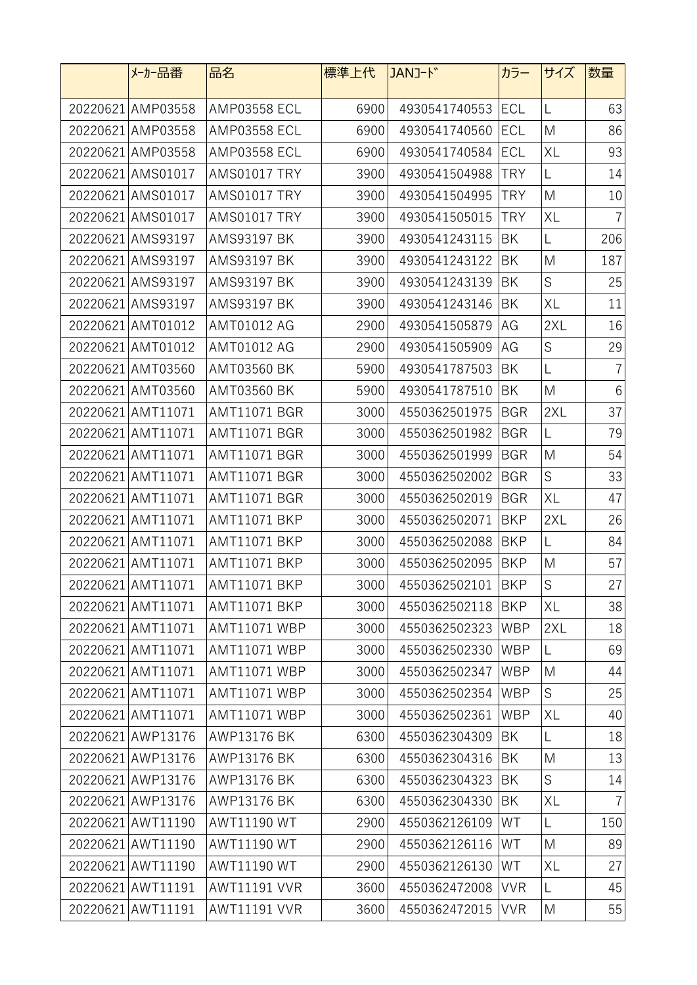|          | メーカー品番            | 品名                  | 標準上代 | JANJ-ド        | カラー        | サイズ         | 数量             |
|----------|-------------------|---------------------|------|---------------|------------|-------------|----------------|
|          | 20220621 AMP03558 | <b>AMP03558 ECL</b> | 6900 | 4930541740553 | <b>ECL</b> | L           | 63             |
|          | 20220621 AMP03558 | <b>AMP03558 ECL</b> | 6900 | 4930541740560 | ECL        | M           | 86             |
|          | 20220621 AMP03558 | <b>AMP03558 ECL</b> | 6900 | 4930541740584 | ECL        | <b>XL</b>   | 93             |
|          | 20220621 AMS01017 | <b>AMS01017 TRY</b> | 3900 | 4930541504988 | <b>TRY</b> | L           | 14             |
|          | 20220621 AMS01017 | <b>AMS01017 TRY</b> | 3900 | 4930541504995 | <b>TRY</b> | M           | 10             |
| 20220621 | AMS01017          | <b>AMS01017 TRY</b> | 3900 | 4930541505015 | <b>TRY</b> | XL          | $\overline{7}$ |
| 20220621 | AMS93197          | <b>AMS93197 BK</b>  | 3900 | 4930541243115 | BK         | L           | 206            |
|          | 20220621 AMS93197 | <b>AMS93197 BK</b>  | 3900 | 4930541243122 | ΒK         | M           | 187            |
|          | 20220621 AMS93197 | <b>AMS93197 BK</b>  | 3900 | 4930541243139 | BK         | S           | 25             |
|          | 20220621 AMS93197 | <b>AMS93197 BK</b>  | 3900 | 4930541243146 | ΒK         | <b>XL</b>   | 11             |
|          | 20220621 AMT01012 | AMT01012 AG         | 2900 | 4930541505879 | AG         | 2XL         | 16             |
|          | 20220621 AMT01012 | AMT01012 AG         | 2900 | 4930541505909 | AG         | S           | 29             |
|          | 20220621 AMT03560 | <b>AMT03560 BK</b>  | 5900 | 4930541787503 | BK         | L           | $\overline{7}$ |
|          | 20220621 AMT03560 | <b>AMT03560 BK</b>  | 5900 | 4930541787510 | BK         | M           | 6              |
|          | 20220621 AMT11071 | <b>AMT11071 BGR</b> | 3000 | 4550362501975 | <b>BGR</b> | 2XL         | 37             |
|          | 20220621 AMT11071 | <b>AMT11071 BGR</b> | 3000 | 4550362501982 | <b>BGR</b> | L           | 79             |
|          | 20220621 AMT11071 | <b>AMT11071 BGR</b> | 3000 | 4550362501999 | <b>BGR</b> | M           | 54             |
|          | 20220621 AMT11071 | <b>AMT11071 BGR</b> | 3000 | 4550362502002 | <b>BGR</b> | $\mathsf S$ | 33             |
|          | 20220621 AMT11071 | <b>AMT11071 BGR</b> | 3000 | 4550362502019 | <b>BGR</b> | XL          | 47             |
|          | 20220621 AMT11071 | <b>AMT11071 BKP</b> | 3000 | 4550362502071 | <b>BKP</b> | 2XL         | 26             |
|          | 20220621 AMT11071 | <b>AMT11071 BKP</b> | 3000 | 4550362502088 | <b>BKP</b> | L           | 84             |
|          | 20220621 AMT11071 | <b>AMT11071 BKP</b> | 3000 | 4550362502095 | <b>BKP</b> | M           | 57             |
|          | 20220621 AMT11071 | <b>AMT11071 BKP</b> | 3000 | 4550362502101 | <b>BKP</b> | $\mathsf S$ | $27\,$         |
|          | 20220621 AMT11071 | <b>AMT11071 BKP</b> | 3000 | 4550362502118 | BKP        | XL          | 38             |
|          | 20220621 AMT11071 | <b>AMT11071 WBP</b> | 3000 | 4550362502323 | <b>WBP</b> | 2XL         | 18             |
|          | 20220621 AMT11071 | <b>AMT11071 WBP</b> | 3000 | 4550362502330 | <b>WBP</b> | L           | 69             |
|          | 20220621 AMT11071 | <b>AMT11071 WBP</b> | 3000 | 4550362502347 | <b>WBP</b> | M           | 44             |
|          | 20220621 AMT11071 | <b>AMT11071 WBP</b> | 3000 | 4550362502354 | <b>WBP</b> | ${\sf S}$   | 25             |
|          | 20220621 AMT11071 | <b>AMT11071 WBP</b> | 3000 | 4550362502361 | <b>WBP</b> | XL          | 40             |
|          | 20220621 AWP13176 | AWP13176 BK         | 6300 | 4550362304309 | BK         | L           | 18             |
|          | 20220621 AWP13176 | AWP13176 BK         | 6300 | 4550362304316 | BK         | M           | 13             |
|          | 20220621 AWP13176 | AWP13176 BK         | 6300 | 4550362304323 | BK         | $\mathsf S$ | 14             |
|          | 20220621 AWP13176 | AWP13176 BK         | 6300 | 4550362304330 | BK         | <b>XL</b>   | $\overline{7}$ |
|          | 20220621 AWT11190 | <b>AWT11190 WT</b>  | 2900 | 4550362126109 | WT         | L           | 150            |
|          | 20220621 AWT11190 | <b>AWT11190 WT</b>  | 2900 | 4550362126116 | WT         | M           | 89             |
|          | 20220621 AWT11190 | <b>AWT11190 WT</b>  | 2900 | 4550362126130 | WT         | XL          | 27             |
|          | 20220621 AWT11191 | <b>AWT11191 VVR</b> | 3600 | 4550362472008 | <b>VVR</b> | L           | 45             |
|          | 20220621 AWT11191 | <b>AWT11191 VVR</b> | 3600 | 4550362472015 | <b>VVR</b> | M           | 55             |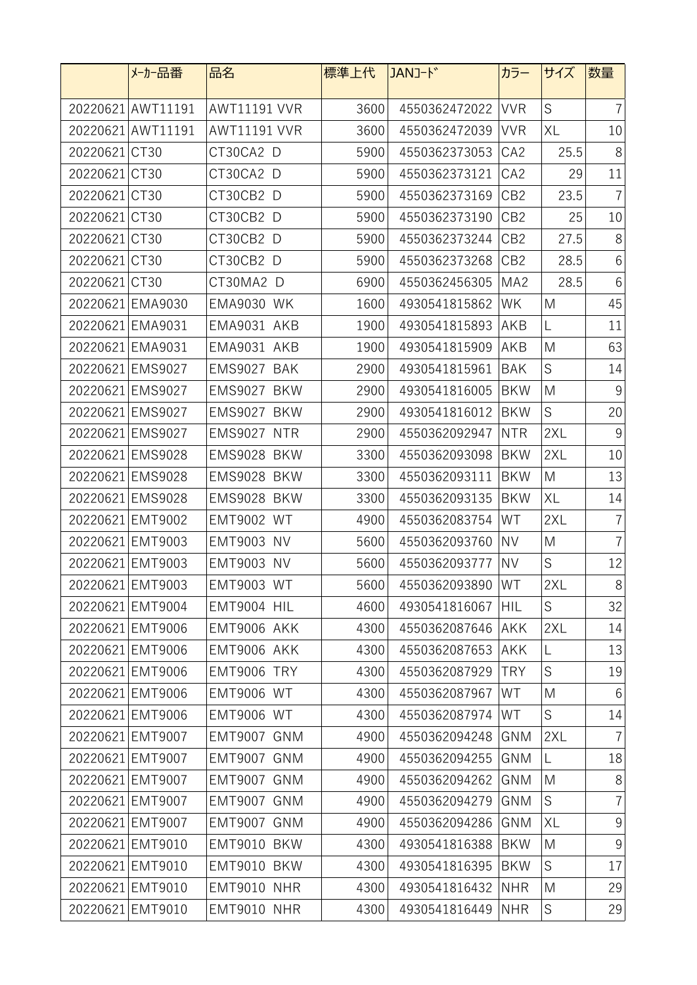|               | メーカー品番            | 品名                  | 標準上代 | JANJ-ド            | カラー             | サイズ         | 数量             |
|---------------|-------------------|---------------------|------|-------------------|-----------------|-------------|----------------|
|               | 20220621 AWT11191 | <b>AWT11191 VVR</b> | 3600 | 4550362472022     | <b>VVR</b>      | S           | $\overline{7}$ |
|               | 20220621 AWT11191 | <b>AWT11191 VVR</b> | 3600 | 4550362472039     | <b>VVR</b>      | XL          | 10             |
| 20220621 CT30 |                   | CT30CA2 D           | 5900 | 4550362373053     | CA <sub>2</sub> | 25.5        | 8              |
| 20220621 CT30 |                   | CT30CA2 D           | 5900 | 4550362373121     | CA <sub>2</sub> | 29          | 11             |
| 20220621 CT30 |                   | CT30CB2 D           | 5900 | 4550362373169     | CB <sub>2</sub> | 23.5        | $\overline{7}$ |
| 20220621 CT30 |                   | CT30CB2 D           | 5900 | 4550362373190     | CB <sub>2</sub> | 25          | 10             |
| 20220621 CT30 |                   | CT30CB2 D           | 5900 | 4550362373244     | CB <sub>2</sub> | 27.5        | 8              |
| 20220621 CT30 |                   | CT30CB2 D           | 5900 | 4550362373268     | CB <sub>2</sub> | 28.5        | 6              |
| 20220621 CT30 |                   | CT30MA2 D           | 6900 | 4550362456305     | MA <sub>2</sub> | 28.5        | $6\,$          |
|               | 20220621 EMA9030  | <b>EMA9030 WK</b>   | 1600 | 4930541815862     | WK              | M           | 45             |
|               | 20220621 EMA9031  | EMA9031 AKB         | 1900 | 4930541815893     | AKB             | L           | 11             |
|               | 20220621 EMA9031  | EMA9031 AKB         | 1900 | 4930541815909     | AKB             | M           | 63             |
|               | 20220621 EMS9027  | EMS9027 BAK         | 2900 | 4930541815961     | <b>BAK</b>      | S           | 14             |
|               | 20220621 EMS9027  | EMS9027 BKW         | 2900 | 4930541816005     | <b>BKW</b>      | M           | $9\,$          |
|               | 20220621 EMS9027  | EMS9027 BKW         | 2900 | 4930541816012     | <b>BKW</b>      | $\mathsf S$ | 20             |
|               | 20220621 EMS9027  | EMS9027 NTR         | 2900 | 4550362092947     | <b>NTR</b>      | 2XL         | 9              |
|               | 20220621 EMS9028  | EMS9028 BKW         | 3300 | 4550362093098     | <b>BKW</b>      | 2XL         | 10             |
|               | 20220621 EMS9028  | EMS9028 BKW         | 3300 | 4550362093111     | <b>BKW</b>      | M           | 13             |
|               | 20220621 EMS9028  | EMS9028 BKW         | 3300 | 4550362093135     | <b>BKW</b>      | XL          | 14             |
|               | 20220621 EMT9002  | <b>EMT9002 WT</b>   | 4900 | 4550362083754     | WT              | 2XL         | $\overline{7}$ |
|               | 20220621 EMT9003  | <b>EMT9003 NV</b>   | 5600 | 4550362093760     | <b>NV</b>       | M           | $\overline{7}$ |
|               | 20220621 EMT9003  | <b>EMT9003 NV</b>   | 5600 | 4550362093777     | <b>NV</b>       | S           | 12             |
|               | 20220621 EMT9003  | <b>EMT9003 WT</b>   | 5600 | 4550362093890 WT  |                 | 2XL         | $8\,$          |
|               | 20220621 EMT9004  | EMT9004 HIL         | 4600 | 4930541816067     | <b>HIL</b>      | S           | 32             |
|               | 20220621 EMT9006  | EMT9006 AKK         | 4300 | 4550362087646     | <b>AKK</b>      | 2XL         | 14             |
|               | 20220621 EMT9006  | EMT9006 AKK         | 4300 | 4550362087653     | <b>AKK</b>      | L           | 13             |
|               | 20220621 EMT9006  | EMT9006 TRY         | 4300 | 4550362087929     | <b>TRY</b>      | $\mathsf S$ | 19             |
|               | 20220621 EMT9006  | <b>EMT9006 WT</b>   | 4300 | 4550362087967     | WT              | M           | $6\,$          |
|               | 20220621 EMT9006  | <b>EMT9006 WT</b>   | 4300 | 4550362087974     | WT              | $\mathsf S$ | 14             |
|               | 20220621 EMT9007  | EMT9007 GNM         | 4900 | 4550362094248 GNM |                 | 2XL         | $\overline{7}$ |
|               | 20220621 EMT9007  | EMT9007 GNM         | 4900 | 4550362094255     | GNM             | L           | 18             |
|               | 20220621 EMT9007  | EMT9007 GNM         | 4900 | 4550362094262     | GNM             | M           | 8              |
|               | 20220621 EMT9007  | EMT9007 GNM         | 4900 | 4550362094279     | GNM             | S           | $\overline{7}$ |
|               | 20220621 EMT9007  | EMT9007 GNM         | 4900 | 4550362094286     | GNM             | XL          | $9\,$          |
|               | 20220621 EMT9010  | EMT9010 BKW         | 4300 | 4930541816388     | <b>BKW</b>      | M           | $\overline{9}$ |
|               | 20220621 EMT9010  | EMT9010 BKW         | 4300 | 4930541816395     | <b>BKW</b>      | S           | 17             |
|               | 20220621 EMT9010  | EMT9010 NHR         | 4300 | 4930541816432     | <b>NHR</b>      | M           | 29             |
|               | 20220621 EMT9010  | EMT9010 NHR         | 4300 | 4930541816449     | <b>NHR</b>      | S           | 29             |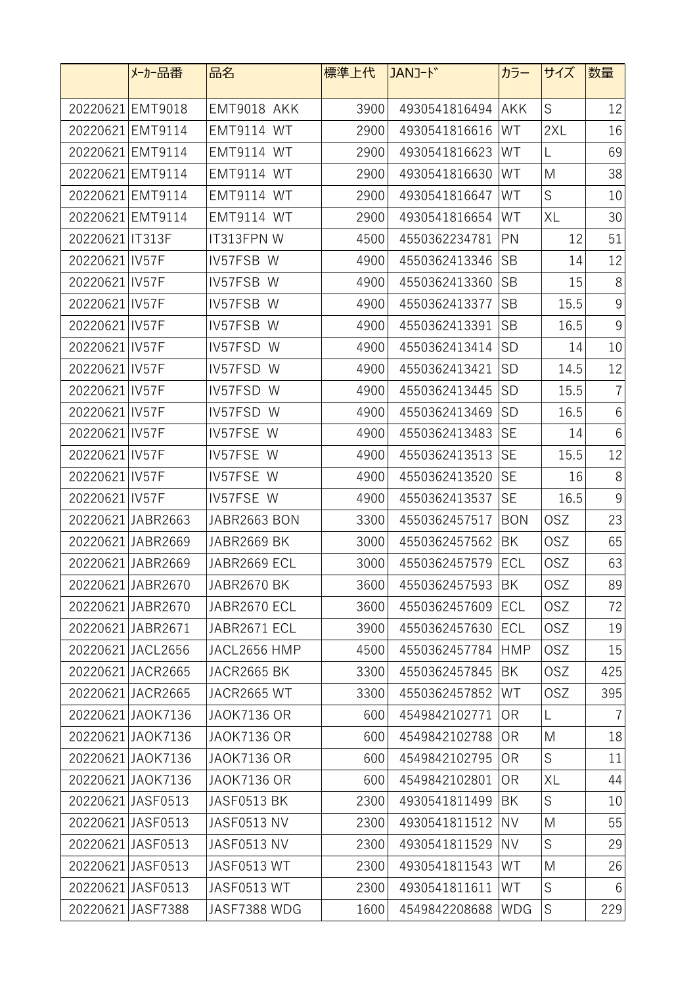|                   | メーカー品番            | 品名                 | 標準上代 | JANJ-ド        | カラー            | サイズ         | 数量              |
|-------------------|-------------------|--------------------|------|---------------|----------------|-------------|-----------------|
|                   | 20220621 EMT9018  | EMT9018 AKK        | 3900 | 4930541816494 | <b>AKK</b>     | $\mathsf S$ | 12              |
|                   | 20220621 EMT9114  | <b>EMT9114 WT</b>  | 2900 | 4930541816616 | WT             | 2XL         | 16              |
|                   | 20220621 EMT9114  | <b>EMT9114 WT</b>  | 2900 | 4930541816623 | WT             | L           | 69              |
|                   | 20220621 EMT9114  | <b>EMT9114 WT</b>  | 2900 | 4930541816630 | WT             | M           | 38              |
|                   | 20220621 EMT9114  | EMT9114 WT         | 2900 | 4930541816647 | WT             | S           | 10              |
| 20220621          | <b>EMT9114</b>    | <b>EMT9114 WT</b>  | 2900 | 4930541816654 | WT             | XL          | 30              |
| 20220621   IT313F |                   | IT313FPN W         | 4500 | 4550362234781 | PN             | 12          | 51              |
| 20220621 IV57F    |                   | IV57FSB W          | 4900 | 4550362413346 | <b>SB</b>      | 14          | 12              |
| 20220621 IV57F    |                   | IV57FSB W          | 4900 | 4550362413360 | <b>SB</b>      | 15          | 8               |
| 20220621 IV57F    |                   | IV57FSB W          | 4900 | 4550362413377 | <b>SB</b>      | 15.5        | $9\,$           |
| 20220621 IV57F    |                   | IV57FSB W          | 4900 | 4550362413391 | <b>SB</b>      | 16.5        | $\overline{9}$  |
| 20220621 IV57F    |                   | IV57FSD W          | 4900 | 4550362413414 | <b>SD</b>      | 14          | 10              |
| 20220621 IV57F    |                   | IV57FSD W          | 4900 | 4550362413421 | <b>SD</b>      | 14.5        | 12              |
| 20220621 IV57F    |                   | IV57FSD W          | 4900 | 4550362413445 | <b>SD</b>      | 15.5        | $\overline{7}$  |
| 20220621 IV57F    |                   | IV57FSD W          | 4900 | 4550362413469 | <b>SD</b>      | 16.5        | $6\phantom{.}6$ |
| 20220621 IV57F    |                   | IV57FSE W          | 4900 | 4550362413483 | <b>SE</b>      | 14          | $6\,$           |
| 20220621   IV57F  |                   | IV57FSE W          | 4900 | 4550362413513 | <b>SE</b>      | 15.5        | 12              |
| 20220621 IV57F    |                   | IV57FSE W          | 4900 | 4550362413520 | <b>SE</b>      | 16          | 8               |
| 20220621 IV57F    |                   | IV57FSE W          | 4900 | 4550362413537 | <b>SE</b>      | 16.5        | 9               |
|                   | 20220621 JABR2663 | JABR2663 BON       | 3300 | 4550362457517 | <b>BON</b>     | <b>OSZ</b>  | 23              |
|                   | 20220621 JABR2669 | JABR2669 BK        | 3000 | 4550362457562 | BK             | <b>OSZ</b>  | 65              |
|                   | 20220621 JABR2669 | JABR2669 ECL       | 3000 | 4550362457579 | <b>ECL</b>     | <b>OSZ</b>  | 63              |
|                   | 20220621 JABR2670 | JABR2670 BK        | 3600 | 4550362457593 | <b>BK</b>      | 0SZ         | 89              |
|                   | 20220621 JABR2670 | JABR2670 ECL       | 3600 | 4550362457609 | <b>ECL</b>     | <b>OSZ</b>  | 72              |
|                   | 20220621 JABR2671 | JABR2671 ECL       | 3900 | 4550362457630 | ECL            | <b>OSZ</b>  | 19              |
|                   | 20220621 JACL2656 | JACL2656 HMP       | 4500 | 4550362457784 | <b>HMP</b>     | <b>OSZ</b>  | 15              |
|                   | 20220621 JACR2665 | JACR2665 BK        | 3300 | 4550362457845 | BK             | <b>OSZ</b>  | 425             |
|                   | 20220621 JACR2665 | JACR2665 WT        | 3300 | 4550362457852 | WT             | <b>OSZ</b>  | 395             |
|                   | 20220621 JAOK7136 | <b>JAOK7136 OR</b> | 600  | 4549842102771 | 0R             | L           |                 |
|                   | 20220621 JAOK7136 | <b>JAOK7136 OR</b> | 600  | 4549842102788 | 0R             | M           | 18              |
|                   | 20220621 JAOK7136 | <b>JAOK7136 OR</b> | 600  | 4549842102795 | 0 <sub>R</sub> | S           | 11              |
|                   | 20220621 JAOK7136 | <b>JAOK7136 OR</b> | 600  | 4549842102801 | 0 <sub>R</sub> | XL          | 44              |
|                   | 20220621 JASF0513 | JASF0513 BK        | 2300 | 4930541811499 | BK             | S           | 10              |
|                   | 20220621 JASF0513 | JASF0513 NV        | 2300 | 4930541811512 | <b>NV</b>      | M           | 55              |
|                   | 20220621 JASF0513 | JASF0513 NV        | 2300 | 4930541811529 | <b>NV</b>      | S           | 29              |
|                   | 20220621 JASF0513 | JASF0513 WT        | 2300 | 4930541811543 | WT             | M           | 26              |
|                   | 20220621 JASF0513 | JASF0513 WT        | 2300 | 4930541811611 | WT             | S           | 6               |
|                   | 20220621 JASF7388 | JASF7388 WDG       | 1600 | 4549842208688 | <b>WDG</b>     | $\mathsf S$ | 229             |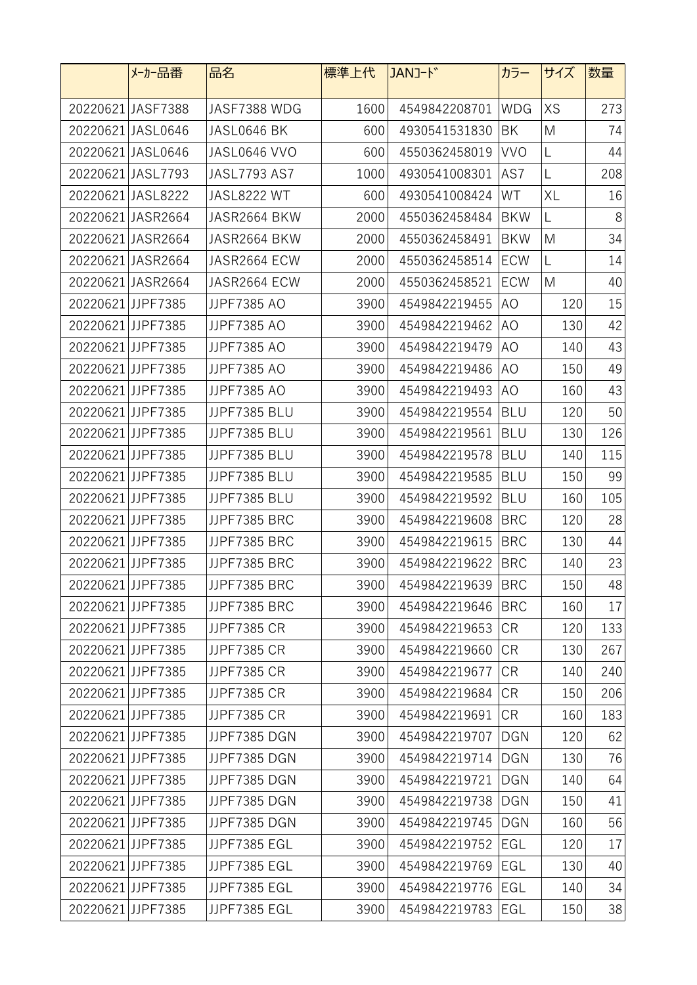|                   | メーカー品番            | 品名                  | 標準上代 | JANJ-ド        | カラー            | サイズ | 数量  |
|-------------------|-------------------|---------------------|------|---------------|----------------|-----|-----|
|                   | 20220621 JASF7388 | JASF7388 WDG        | 1600 | 4549842208701 | <b>WDG</b>     | XS  | 273 |
|                   | 20220621 JASL0646 | JASL0646 BK         | 600  | 4930541531830 | BK             | M   | 74  |
|                   | 20220621 JASL0646 | JASL0646 VVO        | 600  | 4550362458019 | <b>VVO</b>     | L   | 44  |
|                   | 20220621 JASL7793 | <b>JASL7793 AS7</b> | 1000 | 4930541008301 | AS7            | L   | 208 |
|                   | 20220621 JASL8222 | JASL8222 WT         | 600  | 4930541008424 | WT             | XL  | 16  |
|                   | 20220621 JASR2664 | JASR2664 BKW        | 2000 | 4550362458484 | <b>BKW</b>     | L   | 8   |
|                   | 20220621 JASR2664 | JASR2664 BKW        | 2000 | 4550362458491 | <b>BKW</b>     | M   | 34  |
|                   | 20220621 JASR2664 | JASR2664 ECW        | 2000 | 4550362458514 | ECW            | L   | 14  |
|                   | 20220621 JASR2664 | JASR2664 ECW        | 2000 | 4550362458521 | <b>ECW</b>     | M   | 40  |
|                   | 20220621JJPF7385  | JJPF7385 AO         | 3900 | 4549842219455 | AO             | 120 | 15  |
|                   | 20220621JJPF7385  | JJPF7385 AO         | 3900 | 4549842219462 | AO             | 130 | 42  |
|                   | 20220621JJPF7385  | JJPF7385 AO         | 3900 | 4549842219479 | AO             | 140 | 43  |
|                   | 20220621JJPF7385  | JJPF7385 AO         | 3900 | 4549842219486 | AO             | 150 | 49  |
|                   | 20220621JJPF7385  | JJPF7385 AO         | 3900 | 4549842219493 | A <sub>O</sub> | 160 | 43  |
|                   | 20220621JJPF7385  | JJPF7385 BLU        | 3900 | 4549842219554 | <b>BLU</b>     | 120 | 50  |
| 20220621JJPF7385  |                   | JJPF7385 BLU        | 3900 | 4549842219561 | <b>BLU</b>     | 130 | 126 |
| 20220621 JJPF7385 |                   | JJPF7385 BLU        | 3900 | 4549842219578 | <b>BLU</b>     | 140 | 115 |
| 20220621JJPF7385  |                   | JJPF7385 BLU        | 3900 | 4549842219585 | <b>BLU</b>     | 150 | 99  |
| 20220621JJPF7385  |                   | JJPF7385 BLU        | 3900 | 4549842219592 | <b>BLU</b>     | 160 | 105 |
| 20220621 JJPF7385 |                   | JJPF7385 BRC        | 3900 | 4549842219608 | <b>BRC</b>     | 120 | 28  |
| 20220621 JJPF7385 |                   | JJPF7385 BRC        | 3900 | 4549842219615 | <b>BRC</b>     | 130 | 44  |
| 20220621JJPF7385  |                   | JJPF7385 BRC        | 3900 | 4549842219622 | <b>BRC</b>     | 140 | 23  |
|                   | 20220621JJPF7385  | JJPF7385 BRC        | 3900 | 4549842219639 | <b>BRC</b>     | 150 | 48  |
|                   | 20220621 JJPF7385 | JJPF7385 BRC        | 3900 | 4549842219646 | <b>BRC</b>     | 160 | 17  |
|                   | 20220621 JJPF7385 | JJPF7385 CR         | 3900 | 4549842219653 | <b>CR</b>      | 120 | 133 |
|                   | 20220621 JJPF7385 | JJPF7385 CR         | 3900 | 4549842219660 | <b>CR</b>      | 130 | 267 |
|                   | 20220621JJPF7385  | JJPF7385 CR         | 3900 | 4549842219677 | <b>CR</b>      | 140 | 240 |
|                   | 20220621 JJPF7385 | JJPF7385 CR         | 3900 | 4549842219684 | <b>CR</b>      | 150 | 206 |
| 20220621 JJPF7385 |                   | JJPF7385 CR         | 3900 | 4549842219691 | <b>CR</b>      | 160 | 183 |
|                   | 20220621JJPF7385  | JJPF7385 DGN        | 3900 | 4549842219707 | <b>DGN</b>     | 120 | 62  |
|                   | 20220621JJPF7385  | JJPF7385 DGN        | 3900 | 4549842219714 | <b>DGN</b>     | 130 | 76  |
|                   | 20220621 JJPF7385 | JJPF7385 DGN        | 3900 | 4549842219721 | <b>DGN</b>     | 140 | 64  |
|                   | 20220621 JJPF7385 | JJPF7385 DGN        | 3900 | 4549842219738 | <b>DGN</b>     | 150 | 41  |
|                   | 20220621 JJPF7385 | JJPF7385 DGN        | 3900 | 4549842219745 | <b>DGN</b>     | 160 | 56  |
|                   | 20220621JJPF7385  | JJPF7385 EGL        | 3900 | 4549842219752 | EGL            | 120 | 17  |
|                   | 20220621 JJPF7385 | JJPF7385 EGL        | 3900 | 4549842219769 | EGL            | 130 | 40  |
|                   | 20220621 JJPF7385 | JJPF7385 EGL        | 3900 | 4549842219776 | EGL            | 140 | 34  |
|                   | 20220621 JJPF7385 | JJPF7385 EGL        | 3900 | 4549842219783 | EGL            | 150 | 38  |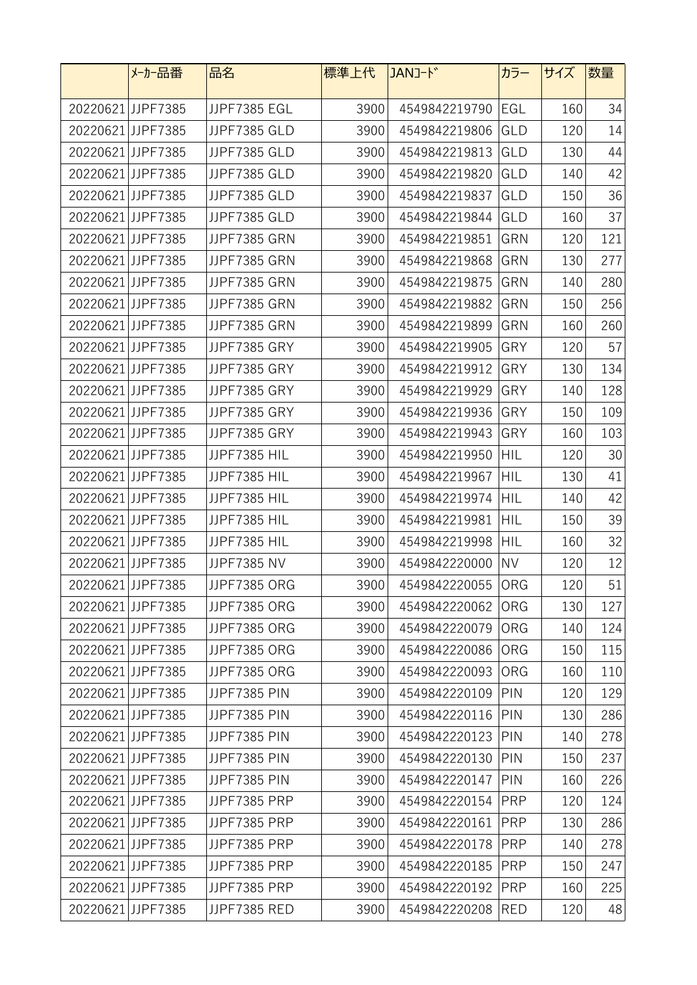|                   | メーカー品番            | 品名                  | 標準上代 | JANJ-ド            | カラー        | サイズ | 数量  |
|-------------------|-------------------|---------------------|------|-------------------|------------|-----|-----|
|                   | 20220621 JJPF7385 | JJPF7385 EGL        | 3900 | 4549842219790     | EGL        | 160 | 34  |
| 20220621 JJPF7385 |                   | JJPF7385 GLD        | 3900 | 4549842219806     | GLD        | 120 | 14  |
|                   | 20220621 JJPF7385 | JJPF7385 GLD        | 3900 | 4549842219813     | GLD        | 130 | 44  |
| 20220621 JJPF7385 |                   | JJPF7385 GLD        | 3900 | 4549842219820     | GLD        | 140 | 42  |
| 20220621 JJPF7385 |                   | JJPF7385 GLD        | 3900 | 4549842219837     | GLD        | 150 | 36  |
| 20220621JJPF7385  |                   | JJPF7385 GLD        | 3900 | 4549842219844     | GLD        | 160 | 37  |
| 20220621 JJPF7385 |                   | JJPF7385 GRN        | 3900 | 4549842219851     | GRN        | 120 | 121 |
| 20220621 JJPF7385 |                   | JJPF7385 GRN        | 3900 | 4549842219868     | GRN        | 130 | 277 |
| 20220621 JJPF7385 |                   | JJPF7385 GRN        | 3900 | 4549842219875     | GRN        | 140 | 280 |
| 20220621 JJPF7385 |                   | JJPF7385 GRN        | 3900 | 4549842219882     | GRN        | 150 | 256 |
| 20220621 JJPF7385 |                   | JJPF7385 GRN        | 3900 | 4549842219899     | GRN        | 160 | 260 |
| 20220621JJPF7385  |                   | JJPF7385 GRY        | 3900 | 4549842219905     | GRY        | 120 | 57  |
| 20220621JJPF7385  |                   | JJPF7385 GRY        | 3900 | 4549842219912     | GRY        | 130 | 134 |
| 20220621JJPF7385  |                   | JJPF7385 GRY        | 3900 | 4549842219929     | GRY        | 140 | 128 |
| 20220621 JJPF7385 |                   | JJPF7385 GRY        | 3900 | 4549842219936     | GRY        | 150 | 109 |
| 20220621 JJPF7385 |                   | JJPF7385 GRY        | 3900 | 4549842219943     | GRY        | 160 | 103 |
| 20220621 JJPF7385 |                   | JJPF7385 HIL        | 3900 | 4549842219950     | <b>HIL</b> | 120 | 30  |
| 20220621 JJPF7385 |                   | JJPF7385 HIL        | 3900 | 4549842219967     | HIL        | 130 | 41  |
| 20220621JJPF7385  |                   | JJPF7385 HIL        | 3900 | 4549842219974     | HIL        | 140 | 42  |
| 20220621 JJPF7385 |                   | JJPF7385 HIL        | 3900 | 4549842219981     | HIL        | 150 | 39  |
| 20220621JJPF7385  |                   | JJPF7385 HIL        | 3900 | 4549842219998     | HIL        | 160 | 32  |
| 20220621JJPF7385  |                   | JJPF7385 NV         | 3900 | 4549842220000     | <b>NV</b>  | 120 | 12  |
| 20220621 JJPF7385 |                   | JJPF7385 ORG        | 3900 | 4549842220055 ORG |            | 120 | 51  |
| 20220621JJPF7385  |                   | JJPF7385 ORG        | 3900 | 4549842220062     | ORG        | 130 | 127 |
|                   | 20220621 JJPF7385 | JJPF7385 ORG        | 3900 | 4549842220079     | ORG        | 140 | 124 |
|                   | 20220621JJPF7385  | JJPF7385 ORG        | 3900 | 4549842220086     | <b>ORG</b> | 150 | 115 |
|                   | 20220621JJPF7385  | JJPF7385 ORG        | 3900 | 4549842220093     | <b>ORG</b> | 160 | 110 |
|                   | 20220621 JJPF7385 | <b>JJPF7385 PIN</b> | 3900 | 4549842220109     | PIN        | 120 | 129 |
| 20220621 JJPF7385 |                   | <b>JJPF7385 PIN</b> | 3900 | 4549842220116     | PIN        | 130 | 286 |
| 20220621 JJPF7385 |                   | <b>JJPF7385 PIN</b> | 3900 | 4549842220123     | PIN        | 140 | 278 |
| 20220621 JJPF7385 |                   | <b>JJPF7385 PIN</b> | 3900 | 4549842220130     | PIN        | 150 | 237 |
| 20220621JJPF7385  |                   | <b>JJPF7385 PIN</b> | 3900 | 4549842220147     | PIN        | 160 | 226 |
|                   | 20220621 JJPF7385 | JJPF7385 PRP        | 3900 | 4549842220154     | <b>PRP</b> | 120 | 124 |
| 20220621 JJPF7385 |                   | JJPF7385 PRP        | 3900 | 4549842220161     | <b>PRP</b> | 130 | 286 |
|                   | 20220621 JJPF7385 | JJPF7385 PRP        | 3900 | 4549842220178     | <b>PRP</b> | 140 | 278 |
|                   | 20220621 JJPF7385 | JJPF7385 PRP        | 3900 | 4549842220185     | <b>PRP</b> | 150 | 247 |
|                   | 20220621 JJPF7385 | JJPF7385 PRP        | 3900 | 4549842220192     | <b>PRP</b> | 160 | 225 |
|                   | 20220621 JJPF7385 | JJPF7385 RED        | 3900 | 4549842220208     | <b>RED</b> | 120 | 48  |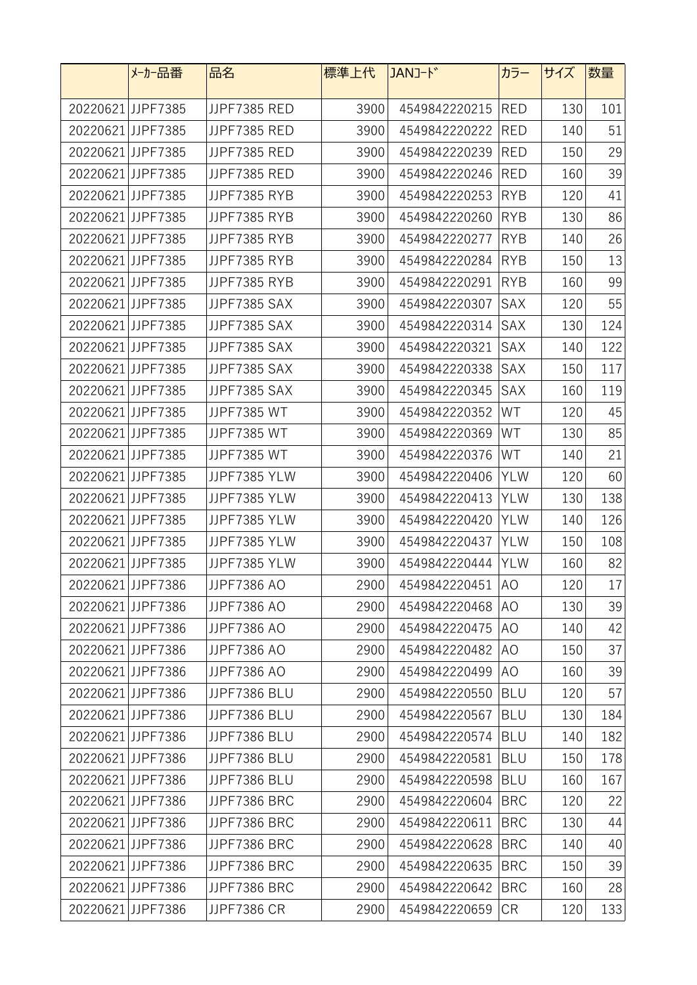|                   | メーカー品番            | 品名           | 標準上代 | JANJ-ド        | カラー        | サイズ | 数量  |
|-------------------|-------------------|--------------|------|---------------|------------|-----|-----|
|                   | 20220621JJPF7385  | JJPF7385 RED | 3900 | 4549842220215 | <b>RED</b> | 130 | 101 |
|                   | 20220621 JJPF7385 | JJPF7385 RED | 3900 | 4549842220222 | <b>RED</b> | 140 | 51  |
|                   | 20220621 JJPF7385 | JJPF7385 RED | 3900 | 4549842220239 | <b>RED</b> | 150 | 29  |
| 20220621 JJPF7385 |                   | JJPF7385 RED | 3900 | 4549842220246 | <b>RED</b> | 160 | 39  |
| 20220621 JJPF7385 |                   | JJPF7385 RYB | 3900 | 4549842220253 | <b>RYB</b> | 120 | 41  |
| 20220621JJPF7385  |                   | JJPF7385 RYB | 3900 | 4549842220260 | <b>RYB</b> | 130 | 86  |
| 20220621 JJPF7385 |                   | JJPF7385 RYB | 3900 | 4549842220277 | <b>RYB</b> | 140 | 26  |
| 20220621 JJPF7385 |                   | JJPF7385 RYB | 3900 | 4549842220284 | <b>RYB</b> | 150 | 13  |
| 20220621 JJPF7385 |                   | JJPF7385 RYB | 3900 | 4549842220291 | <b>RYB</b> | 160 | 99  |
| 20220621 JJPF7385 |                   | JJPF7385 SAX | 3900 | 4549842220307 | <b>SAX</b> | 120 | 55  |
| 20220621 JJPF7385 |                   | JJPF7385 SAX | 3900 | 4549842220314 | SAX        | 130 | 124 |
|                   | 20220621JJPF7385  | JJPF7385 SAX | 3900 | 4549842220321 | SAX        | 140 | 122 |
|                   | 20220621JJPF7385  | JJPF7385 SAX | 3900 | 4549842220338 | <b>SAX</b> | 150 | 117 |
| 20220621JJPF7385  |                   | JJPF7385 SAX | 3900 | 4549842220345 | SAX        | 160 | 119 |
|                   | 20220621JJPF7385  | JJPF7385 WT  | 3900 | 4549842220352 | WT         | 120 | 45  |
| 20220621 JJPF7385 |                   | JJPF7385 WT  | 3900 | 4549842220369 | WT         | 130 | 85  |
| 20220621 JJPF7385 |                   | JJPF7385 WT  | 3900 | 4549842220376 | WT         | 140 | 21  |
| 20220621 JJPF7385 |                   | JJPF7385 YLW | 3900 | 4549842220406 | <b>YLW</b> | 120 | 60  |
| 20220621JJPF7385  |                   | JJPF7385 YLW | 3900 | 4549842220413 | <b>YLW</b> | 130 | 138 |
| 20220621 JJPF7385 |                   | JJPF7385 YLW | 3900 | 4549842220420 | <b>YLW</b> | 140 | 126 |
| 20220621JJPF7385  |                   | JJPF7385 YLW | 3900 | 4549842220437 | <b>YLW</b> | 150 | 108 |
| 20220621 JJPF7385 |                   | JJPF7385 YLW | 3900 | 4549842220444 | <b>YLW</b> | 160 | 82  |
|                   | 20220621JJPF7386  | JJPF7386 AO  | 2900 | 4549842220451 | AO         | 120 | 17  |
|                   | 20220621JJPF7386  | JJPF7386 AO  | 2900 | 4549842220468 | AO         | 130 | 39  |
|                   | 20220621 JJPF7386 | JJPF7386 AO  | 2900 | 4549842220475 | AO         | 140 | 42  |
|                   | 20220621JJPF7386  | JJPF7386 AO  | 2900 | 4549842220482 | AO         | 150 | 37  |
|                   | 20220621JJPF7386  | JJPF7386 AO  | 2900 | 4549842220499 | AO         | 160 | 39  |
|                   | 20220621 JJPF7386 | JJPF7386 BLU | 2900 | 4549842220550 | BLU        | 120 | 57  |
|                   | 20220621 JJPF7386 | JJPF7386 BLU | 2900 | 4549842220567 | <b>BLU</b> | 130 | 184 |
|                   | 20220621 JJPF7386 | JJPF7386 BLU | 2900 | 4549842220574 | BLU        | 140 | 182 |
|                   | 20220621 JJPF7386 | JJPF7386 BLU | 2900 | 4549842220581 | <b>BLU</b> | 150 | 178 |
|                   | 20220621JJPF7386  | JJPF7386 BLU | 2900 | 4549842220598 | <b>BLU</b> | 160 | 167 |
|                   | 20220621 JJPF7386 | JJPF7386 BRC | 2900 | 4549842220604 | <b>BRC</b> | 120 | 22  |
|                   | 20220621 JJPF7386 | JJPF7386 BRC | 2900 | 4549842220611 | <b>BRC</b> | 130 | 44  |
|                   | 20220621 JJPF7386 | JJPF7386 BRC | 2900 | 4549842220628 | <b>BRC</b> | 140 | 40  |
|                   | 20220621JJPF7386  | JJPF7386 BRC | 2900 | 4549842220635 | <b>BRC</b> | 150 | 39  |
|                   | 20220621 JJPF7386 | JJPF7386 BRC | 2900 | 4549842220642 | <b>BRC</b> | 160 | 28  |
|                   | 20220621 JJPF7386 | JJPF7386 CR  | 2900 | 4549842220659 | CR         | 120 | 133 |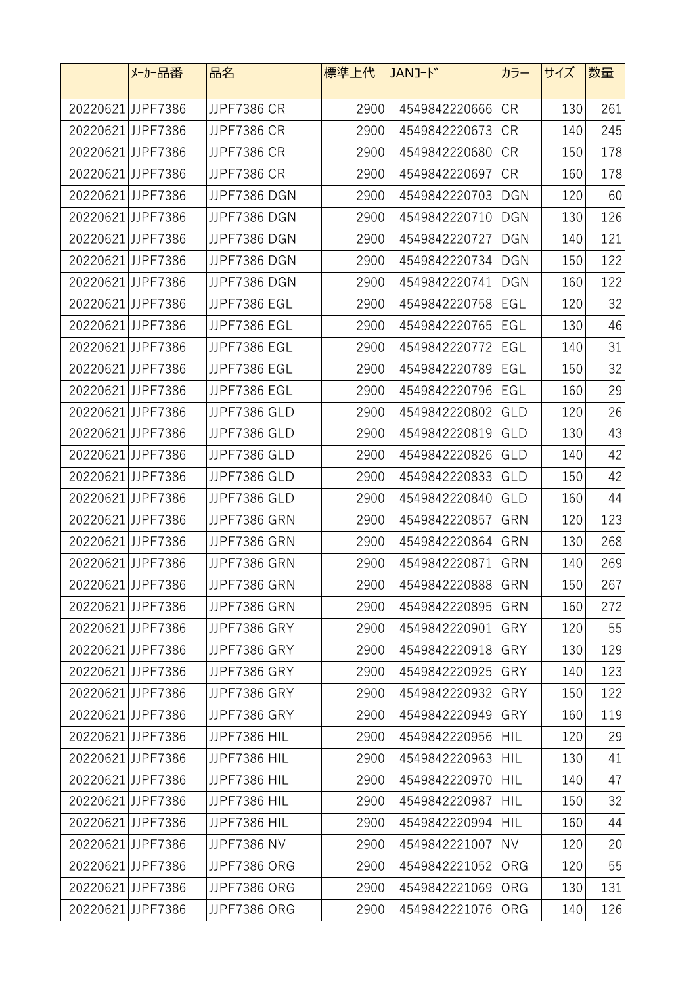|                   | メーカー品番            | 品名                  | 標準上代 | JANJ-ド            | カラー        | サイズ | 数量  |
|-------------------|-------------------|---------------------|------|-------------------|------------|-----|-----|
|                   | 20220621 JJPF7386 | JJPF7386 CR         | 2900 | 4549842220666     | <b>CR</b>  | 130 | 261 |
|                   | 20220621JJPF7386  | JJPF7386 CR         | 2900 | 4549842220673     | <b>CR</b>  | 140 | 245 |
|                   | 20220621 JJPF7386 | <b>JJPF7386 CR</b>  | 2900 | 4549842220680     | <b>CR</b>  | 150 | 178 |
| 20220621 JJPF7386 |                   | JJPF7386 CR         | 2900 | 4549842220697     | <b>CR</b>  | 160 | 178 |
| 20220621 JJPF7386 |                   | JJPF7386 DGN        | 2900 | 4549842220703     | <b>DGN</b> | 120 | 60  |
| 20220621 JJPF7386 |                   | JJPF7386 DGN        | 2900 | 4549842220710     | <b>DGN</b> | 130 | 126 |
| 20220621 JJPF7386 |                   | JJPF7386 DGN        | 2900 | 4549842220727     | <b>DGN</b> | 140 | 121 |
| 20220621 JJPF7386 |                   | JJPF7386 DGN        | 2900 | 4549842220734     | <b>DGN</b> | 150 | 122 |
| 20220621 JJPF7386 |                   | JJPF7386 DGN        | 2900 | 4549842220741     | <b>DGN</b> | 160 | 122 |
| 20220621JJPF7386  |                   | JJPF7386 EGL        | 2900 | 4549842220758     | EGL        | 120 | 32  |
| 20220621JJPF7386  |                   | JJPF7386 EGL        | 2900 | 4549842220765     | EGL        | 130 | 46  |
| 20220621JJPF7386  |                   | JJPF7386 EGL        | 2900 | 4549842220772     | EGL        | 140 | 31  |
| 20220621JJPF7386  |                   | JJPF7386 EGL        | 2900 | 4549842220789     | EGL        | 150 | 32  |
| 20220621JJPF7386  |                   | JJPF7386 EGL        | 2900 | 4549842220796     | EGL        | 160 | 29  |
|                   | 20220621JJPF7386  | JJPF7386 GLD        | 2900 | 4549842220802     | GLD        | 120 | 26  |
| 20220621 JJPF7386 |                   | JJPF7386 GLD        | 2900 | 4549842220819     | GLD        | 130 | 43  |
| 20220621 JJPF7386 |                   | JJPF7386 GLD        | 2900 | 4549842220826     | GLD        | 140 | 42  |
| 20220621 JJPF7386 |                   | JJPF7386 GLD        | 2900 | 4549842220833     | GLD        | 150 | 42  |
| 20220621JJPF7386  |                   | JJPF7386 GLD        | 2900 | 4549842220840     | GLD        | 160 | 44  |
| 20220621 JJPF7386 |                   | JJPF7386 GRN        | 2900 | 4549842220857     | GRN        | 120 | 123 |
| 20220621 JJPF7386 |                   | JJPF7386 GRN        | 2900 | 4549842220864     | GRN        | 130 | 268 |
| 20220621JJPF7386  |                   | JJPF7386 GRN        | 2900 | 4549842220871     | GRN        | 140 | 269 |
|                   | 20220621JJPF7386  | JJPF7386 GRN        | 2900 | 4549842220888 GRN |            | 150 | 267 |
|                   | 20220621JJPF7386  | JJPF7386 GRN        | 2900 | 4549842220895     | GRN        | 160 | 272 |
|                   | 20220621 JJPF7386 | JJPF7386 GRY        | 2900 | 4549842220901     | GRY        | 120 | 55  |
|                   | 20220621 JJPF7386 | JJPF7386 GRY        | 2900 | 4549842220918     | GRY        | 130 | 129 |
|                   | 20220621JJPF7386  | JJPF7386 GRY        | 2900 | 4549842220925     | GRY        | 140 | 123 |
|                   | 20220621 JJPF7386 | JJPF7386 GRY        | 2900 | 4549842220932     | GRY        | 150 | 122 |
| 20220621JJPF7386  |                   | JJPF7386 GRY        | 2900 | 4549842220949     | GRY        | 160 | 119 |
|                   | 20220621 JJPF7386 | JJPF7386 HIL        | 2900 | 4549842220956     | <b>HIL</b> | 120 | 29  |
| 20220621JJPF7386  |                   | JJPF7386 HIL        | 2900 | 4549842220963     | <b>HIL</b> | 130 | 41  |
|                   | 20220621 JJPF7386 | JJPF7386 HIL        | 2900 | 4549842220970     | <b>HIL</b> | 140 | 47  |
|                   | 20220621 JJPF7386 | JJPF7386 HIL        | 2900 | 4549842220987     | <b>HIL</b> | 150 | 32  |
|                   | 20220621 JJPF7386 | JJPF7386 HIL        | 2900 | 4549842220994     | HIL        | 160 | 44  |
|                   | 20220621 JJPF7386 | JJPF7386 NV         | 2900 | 4549842221007     | <b>NV</b>  | 120 | 20  |
|                   | 20220621 JJPF7386 | JJPF7386 ORG        | 2900 | 4549842221052     | ORG        | 120 | 55  |
|                   | 20220621 JJPF7386 | JJPF7386 ORG        | 2900 | 4549842221069     | ORG        | 130 | 131 |
|                   | 20220621 JJPF7386 | <b>JJPF7386 ORG</b> | 2900 | 4549842221076     | ORG        | 140 | 126 |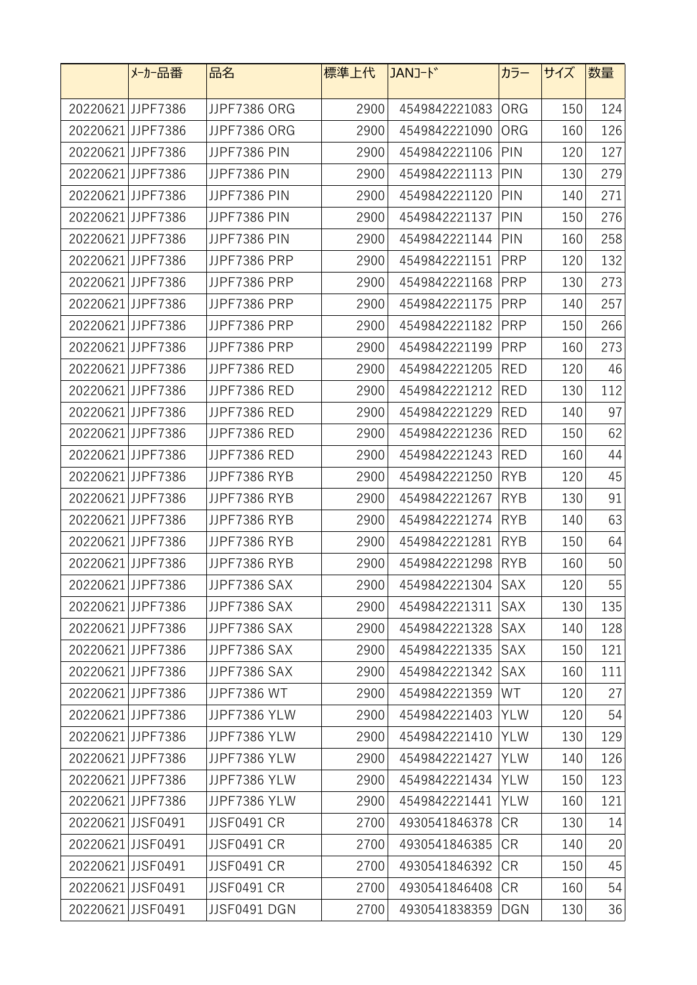|                   | メーカー品番            | 品名                  | 標準上代 | JANJ-ド        | カラー        | サイズ | 数量  |
|-------------------|-------------------|---------------------|------|---------------|------------|-----|-----|
|                   | 20220621 JJPF7386 | JJPF7386 ORG        | 2900 | 4549842221083 | <b>ORG</b> | 150 | 124 |
|                   | 20220621JJPF7386  | JJPF7386 ORG        | 2900 | 4549842221090 | ORG        | 160 | 126 |
| 20220621 JJPF7386 |                   | <b>JJPF7386 PIN</b> | 2900 | 4549842221106 | PIN        | 120 | 127 |
| 20220621 JJPF7386 |                   | <b>JJPF7386 PIN</b> | 2900 | 4549842221113 | PIN        | 130 | 279 |
| 20220621 JJPF7386 |                   | <b>JJPF7386 PIN</b> | 2900 | 4549842221120 | PIN        | 140 | 271 |
| 20220621JJPF7386  |                   | <b>JJPF7386 PIN</b> | 2900 | 4549842221137 | PIN        | 150 | 276 |
| 20220621JJPF7386  |                   | <b>JJPF7386 PIN</b> | 2900 | 4549842221144 | PIN        | 160 | 258 |
| 20220621 JJPF7386 |                   | JJPF7386 PRP        | 2900 | 4549842221151 | <b>PRP</b> | 120 | 132 |
| 20220621 JJPF7386 |                   | JJPF7386 PRP        | 2900 | 4549842221168 | <b>PRP</b> | 130 | 273 |
| 20220621JJPF7386  |                   | JJPF7386 PRP        | 2900 | 4549842221175 | <b>PRP</b> | 140 | 257 |
| 20220621JJPF7386  |                   | JJPF7386 PRP        | 2900 | 4549842221182 | <b>PRP</b> | 150 | 266 |
| 20220621JJPF7386  |                   | JJPF7386 PRP        | 2900 | 4549842221199 | <b>PRP</b> | 160 | 273 |
| 20220621JJPF7386  |                   | JJPF7386 RED        | 2900 | 4549842221205 | <b>RED</b> | 120 | 46  |
| 20220621JJPF7386  |                   | JJPF7386 RED        | 2900 | 4549842221212 | <b>RED</b> | 130 | 112 |
|                   | 20220621JJPF7386  | JJPF7386 RED        | 2900 | 4549842221229 | <b>RED</b> | 140 | 97  |
| 20220621 JJPF7386 |                   | JJPF7386 RED        | 2900 | 4549842221236 | <b>RED</b> | 150 | 62  |
| 20220621 JJPF7386 |                   | JJPF7386 RED        | 2900 | 4549842221243 | <b>RED</b> | 160 | 44  |
| 20220621JJPF7386  |                   | JJPF7386 RYB        | 2900 | 4549842221250 | <b>RYB</b> | 120 | 45  |
| 20220621JJPF7386  |                   | JJPF7386 RYB        | 2900 | 4549842221267 | <b>RYB</b> | 130 | 91  |
| 20220621 JJPF7386 |                   | JJPF7386 RYB        | 2900 | 4549842221274 | <b>RYB</b> | 140 | 63  |
| 20220621 JJPF7386 |                   | JJPF7386 RYB        | 2900 | 4549842221281 | <b>RYB</b> | 150 | 64  |
| 20220621JJPF7386  |                   | JJPF7386 RYB        | 2900 | 4549842221298 | <b>RYB</b> | 160 | 50  |
|                   | 20220621JJPF7386  | JJPF7386 SAX        | 2900 | 4549842221304 | SAX        | 120 | 55  |
|                   | 20220621 JJPF7386 | JJPF7386 SAX        | 2900 | 4549842221311 | SAX        | 130 | 135 |
|                   | 20220621 JJPF7386 | JJPF7386 SAX        | 2900 | 4549842221328 | SAX        | 140 | 128 |
|                   | 20220621 JJPF7386 | JJPF7386 SAX        | 2900 | 4549842221335 | SAX        | 150 | 121 |
|                   | 20220621JJPF7386  | JJPF7386 SAX        | 2900 | 4549842221342 | <b>SAX</b> | 160 | 111 |
|                   | 20220621 JJPF7386 | JJPF7386 WT         | 2900 | 4549842221359 | WT         | 120 | 27  |
| 20220621JJPF7386  |                   | JJPF7386 YLW        | 2900 | 4549842221403 | <b>YLW</b> | 120 | 54  |
|                   | 20220621 JJPF7386 | JJPF7386 YLW        | 2900 | 4549842221410 | <b>YLW</b> | 130 | 129 |
| 20220621JJPF7386  |                   | JJPF7386 YLW        | 2900 | 4549842221427 | <b>YLW</b> | 140 | 126 |
|                   | 20220621 JJPF7386 | JJPF7386 YLW        | 2900 | 4549842221434 | <b>YLW</b> | 150 | 123 |
|                   | 20220621 JJPF7386 | JJPF7386 YLW        | 2900 | 4549842221441 | <b>YLW</b> | 160 | 121 |
| 20220621 JJSF0491 |                   | <b>JJSF0491 CR</b>  | 2700 | 4930541846378 | <b>CR</b>  | 130 | 14  |
| 20220621JJSF0491  |                   | <b>JJSF0491 CR</b>  | 2700 | 4930541846385 | <b>CR</b>  | 140 | 20  |
| 20220621JJSF0491  |                   | <b>JJSF0491 CR</b>  | 2700 | 4930541846392 | <b>CR</b>  | 150 | 45  |
| 20220621JJSF0491  |                   | <b>JJSF0491 CR</b>  | 2700 | 4930541846408 | <b>CR</b>  | 160 | 54  |
| 20220621 JJSF0491 |                   | JJSF0491 DGN        | 2700 | 4930541838359 | <b>DGN</b> | 130 | 36  |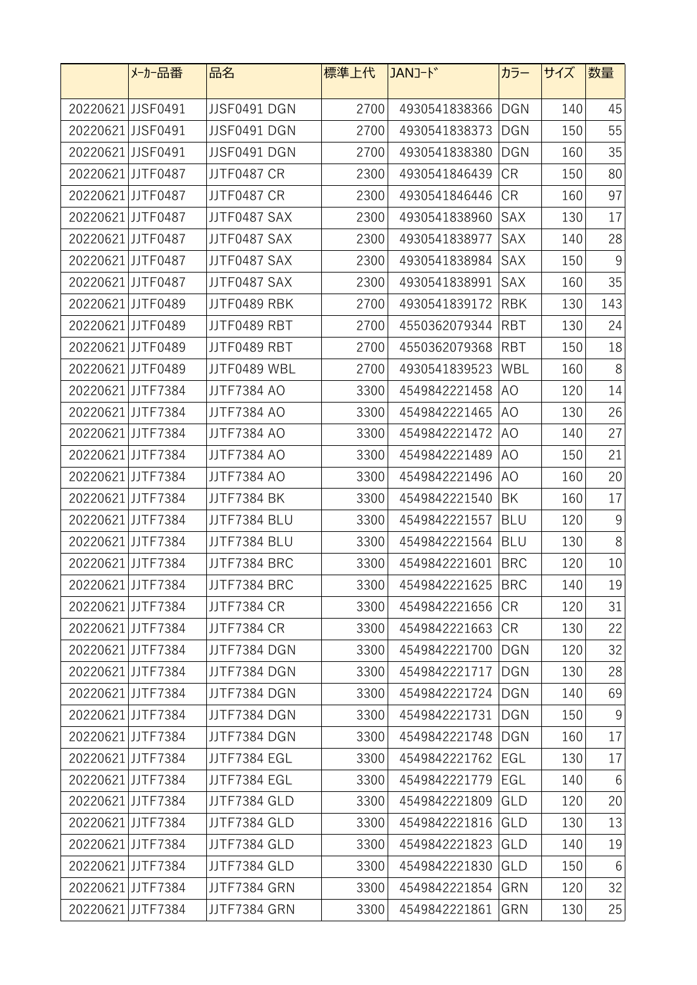|                   | メーカー品番            | 品名                 | 標準上代 | JANJ-ド        | カラー        | サイズ | 数量              |
|-------------------|-------------------|--------------------|------|---------------|------------|-----|-----------------|
| 20220621JJSF0491  |                   | JJSF0491 DGN       | 2700 | 4930541838366 | <b>DGN</b> | 140 | 45              |
| 20220621 JJSF0491 |                   | JJSF0491 DGN       | 2700 | 4930541838373 | <b>DGN</b> | 150 | 55              |
| 20220621 JJSF0491 |                   | JJSF0491 DGN       | 2700 | 4930541838380 | <b>DGN</b> | 160 | 35              |
| 20220621JJTF0487  |                   | <b>JJTF0487 CR</b> | 2300 | 4930541846439 | CR         | 150 | 80              |
| 20220621 JJTF0487 |                   | JJTF0487 CR        | 2300 | 4930541846446 | <b>CR</b>  | 160 | 97              |
| 20220621JJTF0487  |                   | JJTF0487 SAX       | 2300 | 4930541838960 | SAX        | 130 | 17              |
| 20220621JJTF0487  |                   | JJTF0487 SAX       | 2300 | 4930541838977 | SAX        | 140 | 28              |
| 20220621JJTF0487  |                   | JJTF0487 SAX       | 2300 | 4930541838984 | SAX        | 150 | 9               |
| 20220621JJTF0487  |                   | JJTF0487 SAX       | 2300 | 4930541838991 | SAX        | 160 | 35              |
| 20220621JJTF0489  |                   | JJTF0489 RBK       | 2700 | 4930541839172 | <b>RBK</b> | 130 | 143             |
| 20220621JJTF0489  |                   | JJTF0489 RBT       | 2700 | 4550362079344 | <b>RBT</b> | 130 | 24              |
| 20220621JJTF0489  |                   | JJTF0489 RBT       | 2700 | 4550362079368 | <b>RBT</b> | 150 | 18              |
| 20220621JJTF0489  |                   | JJTF0489 WBL       | 2700 | 4930541839523 | WBL        | 160 | 8               |
| 20220621 JJTF7384 |                   | <b>JJTF7384 AO</b> | 3300 | 4549842221458 | AO         | 120 | 14              |
| 20220621 JJTF7384 |                   | JJTF7384 AO        | 3300 | 4549842221465 | AO.        | 130 | 26              |
| 20220621JJTF7384  |                   | JJTF7384 AO        | 3300 | 4549842221472 | AO         | 140 | 27              |
| 20220621 JJTF7384 |                   | JJTF7384 AO        | 3300 | 4549842221489 | AO         | 150 | 21              |
| 20220621JJTF7384  |                   | JJTF7384 AO        | 3300 | 4549842221496 | AO         | 160 | 20              |
| 20220621JJTF7384  |                   | <b>JJTF7384 BK</b> | 3300 | 4549842221540 | BK         | 160 | 17              |
| 20220621 JJTF7384 |                   | JJTF7384 BLU       | 3300 | 4549842221557 | <b>BLU</b> | 120 | 9               |
| 20220621 JJTF7384 |                   | JJTF7384 BLU       | 3300 | 4549842221564 | <b>BLU</b> | 130 | $8\,$           |
| 20220621JJTF7384  |                   | JJTF7384 BRC       | 3300 | 4549842221601 | <b>BRC</b> | 120 | 10              |
| 20220621JJTF7384  |                   | JJTF7384 BRC       | 3300 | 4549842221625 | <b>BRC</b> | 140 | 19              |
| 20220621JJTF7384  |                   | JJTF7384 CR        | 3300 | 4549842221656 | CR         | 120 | 31              |
|                   | 20220621JJTF7384  | JJTF7384 CR        | 3300 | 4549842221663 | <b>CR</b>  | 130 | 22              |
|                   | 20220621JJTF7384  | JJTF7384 DGN       | 3300 | 4549842221700 | <b>DGN</b> | 120 | 32              |
| 20220621JJTF7384  |                   | JJTF7384 DGN       | 3300 | 4549842221717 | <b>DGN</b> | 130 | 28              |
|                   | 20220621 JJTF7384 | JJTF7384 DGN       | 3300 | 4549842221724 | DGN        | 140 | 69              |
| 20220621JJTF7384  |                   | JJTF7384 DGN       | 3300 | 4549842221731 | <b>DGN</b> | 150 | 9               |
| 20220621 JJTF7384 |                   | JJTF7384 DGN       | 3300 | 4549842221748 | <b>DGN</b> | 160 | 17              |
| 20220621JJTF7384  |                   | JJTF7384 EGL       | 3300 | 4549842221762 | EGL        | 130 | 17              |
| 20220621 JJTF7384 |                   | JJTF7384 EGL       | 3300 | 4549842221779 | EGL        | 140 | 6               |
| 20220621 JJTF7384 |                   | JJTF7384 GLD       | 3300 | 4549842221809 | GLD        | 120 | 20              |
|                   | 20220621 JJTF7384 | JJTF7384 GLD       | 3300 | 4549842221816 | GLD        | 130 | 13              |
|                   | 20220621JJTF7384  | JJTF7384 GLD       | 3300 | 4549842221823 | GLD        | 140 | 19              |
| 20220621JJTF7384  |                   | JJTF7384 GLD       | 3300 | 4549842221830 | GLD        | 150 | $6\phantom{.}6$ |
|                   | 20220621JJTF7384  | JJTF7384 GRN       | 3300 | 4549842221854 | GRN        | 120 | 32              |
| 20220621JJTF7384  |                   | JJTF7384 GRN       | 3300 | 4549842221861 | GRN        | 130 | 25              |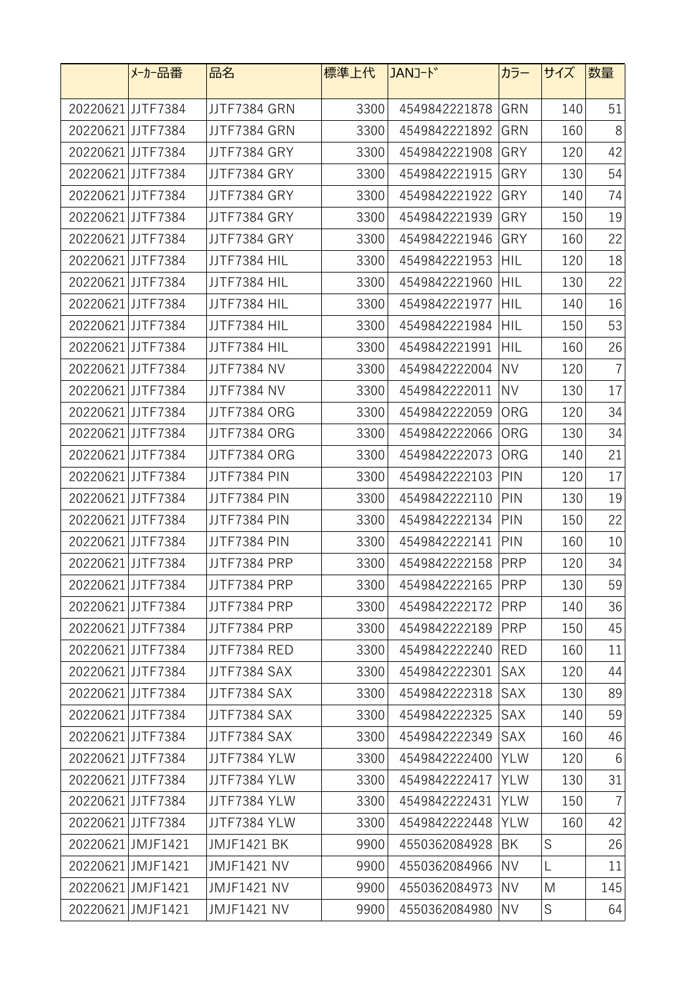|                   | メーカー品番            | 品名                 | 標準上代 | JANJ-ド        | カラー        | サイズ         | 数量              |
|-------------------|-------------------|--------------------|------|---------------|------------|-------------|-----------------|
|                   | 20220621JJTF7384  | JJTF7384 GRN       | 3300 | 4549842221878 | GRN        | 140         | 51              |
| 20220621 JJTF7384 |                   | JJTF7384 GRN       | 3300 | 4549842221892 | GRN        | 160         | 8               |
|                   | 20220621JJTF7384  | JJTF7384 GRY       | 3300 | 4549842221908 | GRY        | 120         | 42              |
| 20220621 JJTF7384 |                   | JJTF7384 GRY       | 3300 | 4549842221915 | GRY        | 130         | 54              |
| 20220621 JJTF7384 |                   | JJTF7384 GRY       | 3300 | 4549842221922 | GRY        | 140         | 74              |
| 20220621 JJTF7384 |                   | JJTF7384 GRY       | 3300 | 4549842221939 | GRY        | 150         | 19              |
| 20220621JJTF7384  |                   | JJTF7384 GRY       | 3300 | 4549842221946 | GRY        | 160         | 22              |
|                   | 20220621JJTF7384  | JJTF7384 HIL       | 3300 | 4549842221953 | <b>HIL</b> | 120         | 18              |
| 20220621JJTF7384  |                   | JJTF7384 HIL       | 3300 | 4549842221960 | <b>HIL</b> | 130         | 22              |
| 20220621JJTF7384  |                   | JJTF7384 HIL       | 3300 | 4549842221977 | HIL        | 140         | 16              |
|                   | 20220621JJTF7384  | JJTF7384 HIL       | 3300 | 4549842221984 | <b>HIL</b> | 150         | 53              |
| 20220621JJTF7384  |                   | JJTF7384 HIL       | 3300 | 4549842221991 | <b>HIL</b> | 160         | 26              |
| 20220621JJTF7384  |                   | <b>JJTF7384 NV</b> | 3300 | 4549842222004 | <b>NV</b>  | 120         | $\overline{7}$  |
|                   | 20220621JJTF7384  | <b>JJTF7384 NV</b> | 3300 | 4549842222011 | <b>NV</b>  | 130         | 17              |
| 20220621 JJTF7384 |                   | JJTF7384 ORG       | 3300 | 4549842222059 | ORG        | 120         | 34              |
| 20220621 JJTF7384 |                   | JJTF7384 ORG       | 3300 | 4549842222066 | ORG        | 130         | 34              |
|                   | 20220621 JJTF7384 | JJTF7384 ORG       | 3300 | 4549842222073 | ORG        | 140         | 21              |
| 20220621 JJTF7384 |                   | JJTF7384 PIN       | 3300 | 4549842222103 | PIN        | 120         | 17              |
| 20220621JJTF7384  |                   | JJTF7384 PIN       | 3300 | 4549842222110 | PIN        | 130         | 19              |
| 20220621JJTF7384  |                   | JJTF7384 PIN       | 3300 | 4549842222134 | PIN        | 150         | 22              |
| 20220621JJTF7384  |                   | JJTF7384 PIN       | 3300 | 4549842222141 | PIN        | 160         | 10              |
| 20220621JJTF7384  |                   | JJTF7384 PRP       | 3300 | 4549842222158 | <b>PRP</b> | 120         | 34              |
| 20220621JJTF7384  |                   | JJTF7384 PRP       | 3300 | 4549842222165 | PRP        | 130         | 59              |
| 20220621 JJTF7384 |                   | JJTF7384 PRP       | 3300 | 4549842222172 | PRP        | 140         | 36              |
|                   | 20220621JJTF7384  | JJTF7384 PRP       | 3300 | 4549842222189 | PRP        | 150         | 45              |
|                   | 20220621JJTF7384  | JJTF7384 RED       | 3300 | 4549842222240 | RED        | 160         | 11              |
|                   | 20220621JJTF7384  | JJTF7384 SAX       | 3300 | 4549842222301 | <b>SAX</b> | 120         | 44              |
|                   | 20220621JJTF7384  | JJTF7384 SAX       | 3300 | 4549842222318 | <b>SAX</b> | 130         | 89              |
|                   | 20220621 JJTF7384 | JJTF7384 SAX       | 3300 | 4549842222325 | <b>SAX</b> | 140         | 59              |
|                   | 20220621 JJTF7384 | JJTF7384 SAX       | 3300 | 4549842222349 | <b>SAX</b> | 160         | 46              |
|                   | 20220621 JJTF7384 | JJTF7384 YLW       | 3300 | 4549842222400 | <b>YLW</b> | 120         | $6\phantom{.}6$ |
|                   | 20220621JJTF7384  | JJTF7384 YLW       | 3300 | 4549842222417 | <b>YLW</b> | 130         | 31              |
| 20220621 JJTF7384 |                   | JJTF7384 YLW       | 3300 | 4549842222431 | <b>YLW</b> | 150         | $\overline{7}$  |
|                   | 20220621 JJTF7384 | JJTF7384 YLW       | 3300 | 4549842222448 | <b>YLW</b> | 160         | 42              |
|                   | 20220621 JMJF1421 | <b>JMJF1421 BK</b> | 9900 | 4550362084928 | BK         | S           | 26              |
|                   | 20220621 JMJF1421 | <b>JMJF1421 NV</b> | 9900 | 4550362084966 | <b>NV</b>  | L           | 11              |
|                   | 20220621 JMJF1421 | <b>JMJF1421 NV</b> | 9900 | 4550362084973 | <b>NV</b>  | M           | 145             |
|                   | 20220621 JMJF1421 | <b>JMJF1421 NV</b> | 9900 | 4550362084980 | <b>NV</b>  | $\mathsf S$ | 64              |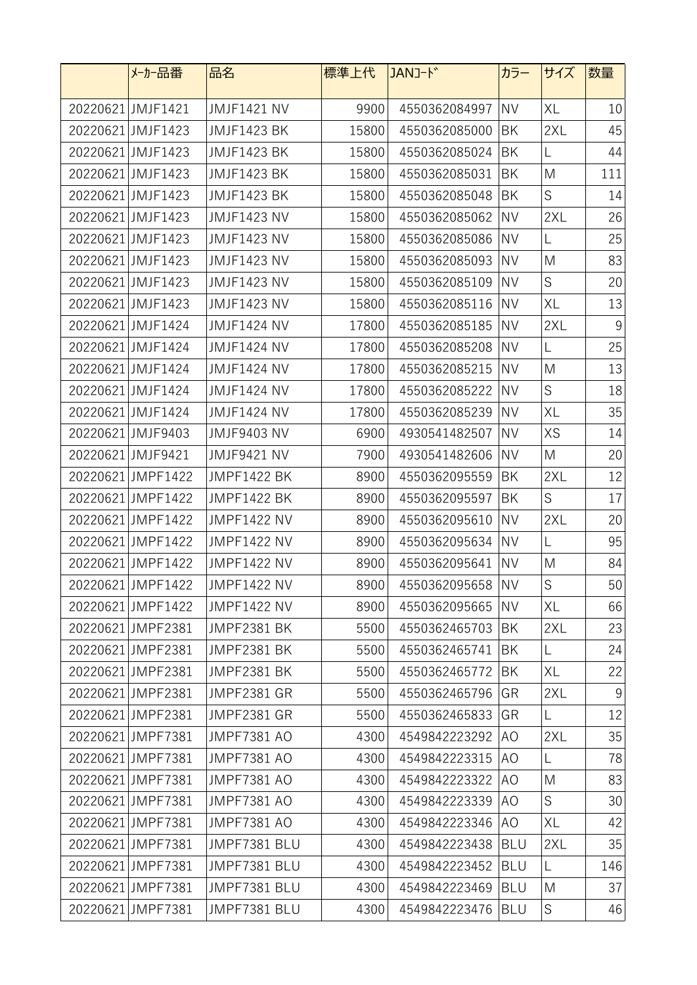| メーカー品番            | 品名                 | 標準上代  | JANコード           | カラー        | サイズ         | 数量              |
|-------------------|--------------------|-------|------------------|------------|-------------|-----------------|
| 20220621 JMJF1421 | <b>JMJF1421 NV</b> | 9900  | 4550362084997    | <b>NV</b>  | XL          | 10              |
| 20220621 JMJF1423 | <b>JMJF1423 BK</b> | 15800 | 4550362085000    | BK         | 2XL         | 45              |
| 20220621 JMJF1423 | <b>JMJF1423 BK</b> | 15800 | 4550362085024    | BK         | L           | 44              |
| 20220621 JMJF1423 | <b>JMJF1423 BK</b> | 15800 | 4550362085031    | BK         | M           | 111             |
| 20220621 JMJF1423 | <b>JMJF1423 BK</b> | 15800 | 4550362085048    | BK         | $\mathsf S$ | 14              |
| 20220621 JMJF1423 | <b>JMJF1423 NV</b> | 15800 | 4550362085062    | <b>NV</b>  | 2XL         | 26              |
| 20220621 JMJF1423 | <b>JMJF1423 NV</b> | 15800 | 4550362085086    | <b>NV</b>  | L           | 25              |
| 20220621 JMJF1423 | <b>JMJF1423 NV</b> | 15800 | 4550362085093    | <b>NV</b>  | M           | 83              |
| 20220621 JMJF1423 | <b>JMJF1423 NV</b> | 15800 | 4550362085109    | <b>NV</b>  | S           | 20              |
| 20220621 JMJF1423 | <b>JMJF1423 NV</b> | 15800 | 4550362085116    | <b>NV</b>  | XL          | 13              |
| 20220621 JMJF1424 | <b>JMJF1424 NV</b> | 17800 | 4550362085185    | <b>NV</b>  | 2XL         | 9               |
| 20220621 JMJF1424 | <b>JMJF1424 NV</b> | 17800 | 4550362085208    | <b>NV</b>  | L           | 25              |
| 20220621 JMJF1424 | <b>JMJF1424 NV</b> | 17800 | 4550362085215    | <b>NV</b>  | M           | 13              |
| 20220621 JMJF1424 | <b>JMJF1424 NV</b> | 17800 | 4550362085222    | <b>NV</b>  | $\mathsf S$ | 18              |
| 20220621 JMJF1424 | <b>JMJF1424 NV</b> | 17800 | 4550362085239    | <b>NV</b>  | XL          | 35              |
| 20220621 JMJF9403 | <b>JMJF9403 NV</b> | 6900  | 4930541482507    | <b>NV</b>  | XS          | 14              |
| 20220621 JMJF9421 | <b>JMJF9421 NV</b> | 7900  | 4930541482606    | <b>NV</b>  | M           | 20              |
| 20220621 JMPF1422 | <b>JMPF1422 BK</b> | 8900  | 4550362095559    | BK         | 2XL         | 12              |
| 20220621 JMPF1422 | <b>JMPF1422 BK</b> | 8900  | 4550362095597    | BK         | S           | 17              |
| 20220621 JMPF1422 | <b>JMPF1422 NV</b> | 8900  | 4550362095610    | <b>NV</b>  | 2XL         | 20              |
| 20220621 JMPF1422 | <b>JMPF1422 NV</b> | 8900  | 4550362095634    | <b>NV</b>  | L           | 95              |
| 20220621 JMPF1422 | <b>JMPF1422 NV</b> | 8900  | 4550362095641    | <b>NV</b>  | M           | 84              |
| 20220621 JMPF1422 | <b>JMPF1422 NV</b> | 8900  | 4550362095658 NV |            | $\mathsf S$ | 50 <sub>2</sub> |
| 20220621 JMPF1422 | <b>JMPF1422 NV</b> | 8900  | 4550362095665    | <b>NV</b>  | XL          | 66              |
| 20220621 JMPF2381 | <b>JMPF2381 BK</b> | 5500  | 4550362465703    | BK         | 2XL         | 23              |
| 20220621 JMPF2381 | <b>JMPF2381 BK</b> | 5500  | 4550362465741    | BK         | L           | 24              |
| 20220621JMPF2381  | <b>JMPF2381 BK</b> | 5500  | 4550362465772    | BK         | XL          | 22              |
| 20220621 JMPF2381 | <b>JMPF2381 GR</b> | 5500  | 4550362465796    | GR         | 2XL         | $9\,$           |
| 20220621JMPF2381  | <b>JMPF2381 GR</b> | 5500  | 4550362465833    | GR         | L           | 12              |
| 20220621 JMPF7381 | <b>JMPF7381 AO</b> | 4300  | 4549842223292    | AO         | 2XL         | 35              |
| 20220621 JMPF7381 | <b>JMPF7381 AO</b> | 4300  | 4549842223315    | AO         | L           | 78              |
| 20220621 JMPF7381 | <b>JMPF7381 AO</b> | 4300  | 4549842223322    | AO         | M           | 83              |
| 20220621 JMPF7381 | <b>JMPF7381 AO</b> | 4300  | 4549842223339    | AO         | S           | 30              |
| 20220621 JMPF7381 | <b>JMPF7381 AO</b> | 4300  | 4549842223346    | AO.        | XL          | 42              |
| 20220621 JMPF7381 | JMPF7381 BLU       | 4300  | 4549842223438    | <b>BLU</b> | 2XL         | 35              |
| 20220621 JMPF7381 | JMPF7381 BLU       | 4300  | 4549842223452    | <b>BLU</b> | L           | 146             |
| 20220621 JMPF7381 | JMPF7381 BLU       | 4300  | 4549842223469    | <b>BLU</b> | M           | 37              |
| 20220621 JMPF7381 | JMPF7381 BLU       | 4300  | 4549842223476    | <b>BLU</b> | $\mathsf S$ | 46              |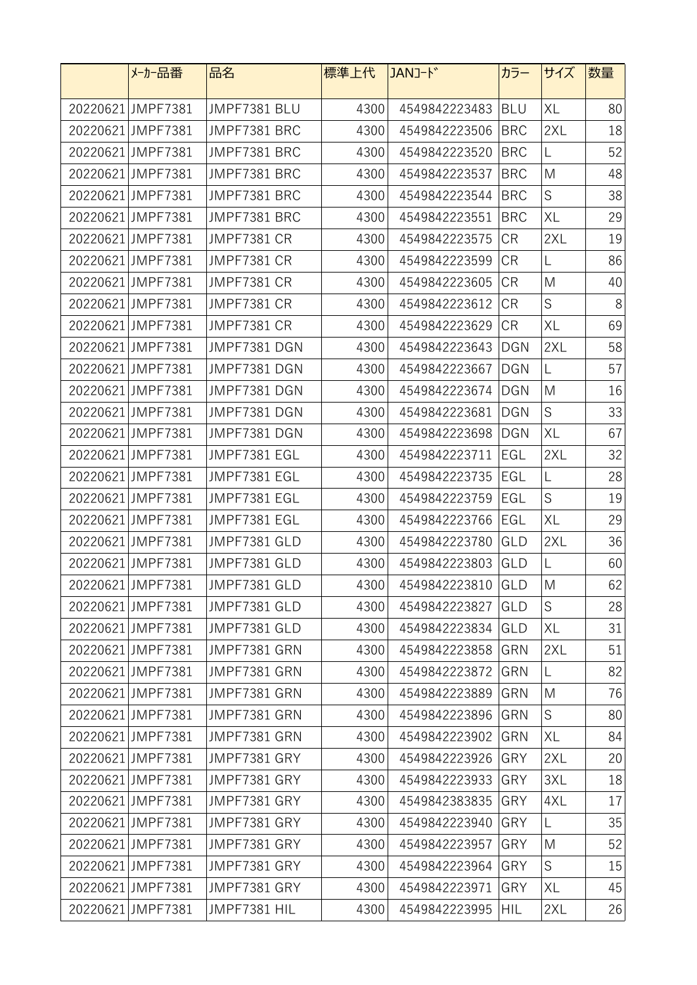| メーカー品番            | 品名                 | 標準上代 | JAN <sub>J</sub> -ド | カラー        | サイズ         | 数量 |
|-------------------|--------------------|------|---------------------|------------|-------------|----|
| 20220621 JMPF7381 | JMPF7381 BLU       | 4300 | 4549842223483       | <b>BLU</b> | XL          | 80 |
| 20220621 JMPF7381 | JMPF7381 BRC       | 4300 | 4549842223506       | <b>BRC</b> | 2XL         | 18 |
| 20220621 JMPF7381 | JMPF7381 BRC       | 4300 | 4549842223520       | <b>BRC</b> | L           | 52 |
| 20220621 JMPF7381 | JMPF7381 BRC       | 4300 | 4549842223537       | <b>BRC</b> | M           | 48 |
| 20220621 JMPF7381 | JMPF7381 BRC       | 4300 | 4549842223544       | <b>BRC</b> | $\mathsf S$ | 38 |
| 20220621 JMPF7381 | JMPF7381 BRC       | 4300 | 4549842223551       | <b>BRC</b> | XL          | 29 |
| 20220621 JMPF7381 | <b>JMPF7381 CR</b> | 4300 | 4549842223575       | <b>CR</b>  | 2XL         | 19 |
| 20220621 JMPF7381 | <b>JMPF7381 CR</b> | 4300 | 4549842223599       | <b>CR</b>  | L           | 86 |
| 20220621 JMPF7381 | <b>JMPF7381 CR</b> | 4300 | 4549842223605       | <b>CR</b>  | M           | 40 |
| 20220621 JMPF7381 | <b>JMPF7381 CR</b> | 4300 | 4549842223612       | <b>CR</b>  | S           | 8  |
| 20220621 JMPF7381 | <b>JMPF7381 CR</b> | 4300 | 4549842223629       | <b>CR</b>  | XL          | 69 |
| 20220621 JMPF7381 | JMPF7381 DGN       | 4300 | 4549842223643       | <b>DGN</b> | 2XL         | 58 |
| 20220621 JMPF7381 | JMPF7381 DGN       | 4300 | 4549842223667       | <b>DGN</b> | L           | 57 |
| 20220621 JMPF7381 | JMPF7381 DGN       | 4300 | 4549842223674       | <b>DGN</b> | M           | 16 |
| 20220621 JMPF7381 | JMPF7381 DGN       | 4300 | 4549842223681       | <b>DGN</b> | S           | 33 |
| 20220621 JMPF7381 | JMPF7381 DGN       | 4300 | 4549842223698       | <b>DGN</b> | XL          | 67 |
| 20220621 JMPF7381 | JMPF7381 EGL       | 4300 | 4549842223711       | EGL        | 2XL         | 32 |
| 20220621 JMPF7381 | JMPF7381 EGL       | 4300 | 4549842223735       | EGL        | L           | 28 |
| 20220621 JMPF7381 | JMPF7381 EGL       | 4300 | 4549842223759       | EGL        | $\mathsf S$ | 19 |
| 20220621 JMPF7381 | JMPF7381 EGL       | 4300 | 4549842223766       | EGL        | XL          | 29 |
| 20220621 JMPF7381 | JMPF7381 GLD       | 4300 | 4549842223780       | GLD        | 2XL         | 36 |
| 20220621 JMPF7381 | JMPF7381 GLD       | 4300 | 4549842223803       | <b>GLD</b> | L           | 60 |
| 20220621 JMPF7381 | JMPF7381 GLD       | 4300 | 4549842223810 GLD   |            | M           | 62 |
| 20220621 JMPF7381 | JMPF7381 GLD       | 4300 | 4549842223827       | <b>GLD</b> | $\mathsf S$ | 28 |
| 20220621 JMPF7381 | JMPF7381 GLD       | 4300 | 4549842223834 GLD   |            | XL          | 31 |
| 20220621 JMPF7381 | JMPF7381 GRN       | 4300 | 4549842223858       | <b>GRN</b> | 2XL         | 51 |
| 20220621 JMPF7381 | JMPF7381 GRN       | 4300 | 4549842223872       | GRN        | L           | 82 |
| 20220621 JMPF7381 | JMPF7381 GRN       | 4300 | 4549842223889       | <b>GRN</b> | M           | 76 |
| 20220621 JMPF7381 | JMPF7381 GRN       | 4300 | 4549842223896       | GRN        | S           | 80 |
| 20220621 JMPF7381 | JMPF7381 GRN       | 4300 | 4549842223902 GRN   |            | XL          | 84 |
| 20220621 JMPF7381 | JMPF7381 GRY       | 4300 | 4549842223926       | GRY        | 2XL         | 20 |
| 20220621 JMPF7381 | JMPF7381 GRY       | 4300 | 4549842223933       | <b>GRY</b> | 3XL         | 18 |
| 20220621 JMPF7381 | JMPF7381 GRY       | 4300 | 4549842383835       | GRY        | 4XL         | 17 |
| 20220621 JMPF7381 | JMPF7381 GRY       | 4300 | 4549842223940       | GRY        | L           | 35 |
| 20220621 JMPF7381 | JMPF7381 GRY       | 4300 | 4549842223957       | GRY        | M           | 52 |
| 20220621 JMPF7381 | JMPF7381 GRY       | 4300 | 4549842223964       | GRY        | S           | 15 |
| 20220621 JMPF7381 | JMPF7381 GRY       | 4300 | 4549842223971       | GRY        | XL          | 45 |
| 20220621 JMPF7381 | JMPF7381 HIL       | 4300 | 4549842223995       | HIL        | 2XL         | 26 |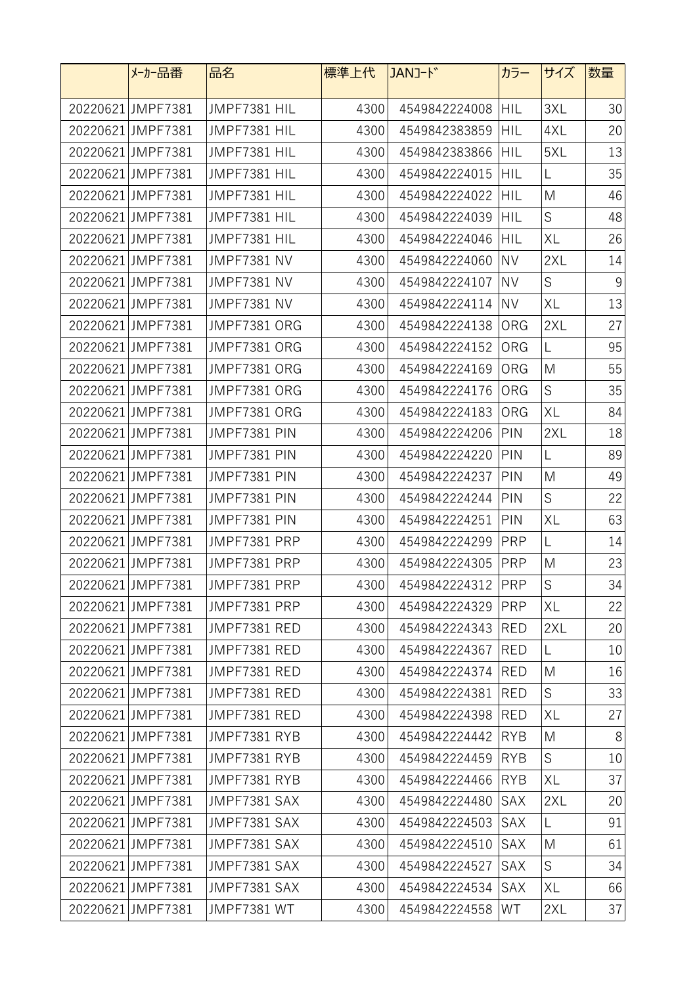| メーカー品番            | 品名                 | 標準上代 | JANJ-ド            | カラー        | サイズ         | 数量    |
|-------------------|--------------------|------|-------------------|------------|-------------|-------|
| 20220621 JMPF7381 | JMPF7381 HIL       | 4300 | 4549842224008     | <b>HIL</b> | 3XL         | 30    |
| 20220621 JMPF7381 | JMPF7381 HIL       | 4300 | 4549842383859     | <b>HIL</b> | 4XL         | 20    |
| 20220621 JMPF7381 | JMPF7381 HIL       | 4300 | 4549842383866     | HIL        | 5XL         | 13    |
| 20220621 JMPF7381 | JMPF7381 HIL       | 4300 | 4549842224015     | HIL        | L           | 35    |
| 20220621 JMPF7381 | JMPF7381 HIL       | 4300 | 4549842224022     | <b>HIL</b> | M           | 46    |
| 20220621 JMPF7381 | JMPF7381 HIL       | 4300 | 4549842224039     | <b>HIL</b> | S           | 48    |
| 20220621 JMPF7381 | JMPF7381 HIL       | 4300 | 4549842224046     | HIL        | XL          | 26    |
| 20220621 JMPF7381 | <b>JMPF7381 NV</b> | 4300 | 4549842224060     | <b>NV</b>  | 2XL         | 14    |
| 20220621 JMPF7381 | <b>JMPF7381 NV</b> | 4300 | 4549842224107     | <b>NV</b>  | S           | 9     |
| 20220621 JMPF7381 | <b>JMPF7381 NV</b> | 4300 | 4549842224114     | <b>NV</b>  | XL          | 13    |
| 20220621 JMPF7381 | JMPF7381 ORG       | 4300 | 4549842224138     | ORG        | 2XL         | 27    |
| 20220621 JMPF7381 | JMPF7381 ORG       | 4300 | 4549842224152     | <b>ORG</b> | L           | 95    |
| 20220621JMPF7381  | JMPF7381 ORG       | 4300 | 4549842224169     | ORG        | M           | 55    |
| 20220621 JMPF7381 | JMPF7381 ORG       | 4300 | 4549842224176     | ORG        | $\mathsf S$ | 35    |
| 20220621 JMPF7381 | JMPF7381 ORG       | 4300 | 4549842224183     | ORG        | XL          | 84    |
| 20220621 JMPF7381 | JMPF7381 PIN       | 4300 | 4549842224206     | PIN        | 2XL         | 18    |
| 20220621 JMPF7381 | JMPF7381 PIN       | 4300 | 4549842224220     | PIN        | L           | 89    |
| 20220621 JMPF7381 | JMPF7381 PIN       | 4300 | 4549842224237     | PIN        | M           | 49    |
| 20220621 JMPF7381 | JMPF7381 PIN       | 4300 | 4549842224244     | PIN        | S           | 22    |
| 20220621 JMPF7381 | JMPF7381 PIN       | 4300 | 4549842224251     | <b>PIN</b> | XL          | 63    |
| 20220621 JMPF7381 | JMPF7381 PRP       | 4300 | 4549842224299     | <b>PRP</b> | L           | 14    |
| 20220621 JMPF7381 | JMPF7381 PRP       | 4300 | 4549842224305     | <b>PRP</b> | M           | 23    |
| 20220621 JMPF7381 | JMPF7381 PRP       | 4300 | 4549842224312 PRP |            | $\mathsf S$ | 34    |
| 20220621 JMPF7381 | JMPF7381 PRP       | 4300 | 4549842224329     | <b>PRP</b> | XL          | 22    |
| 20220621 JMPF7381 | JMPF7381 RED       | 4300 | 4549842224343     | RED        | 2XL         | 20    |
| 20220621JMPF7381  | JMPF7381 RED       | 4300 | 4549842224367     | <b>RED</b> | L           | 10    |
| 20220621 JMPF7381 | JMPF7381 RED       | 4300 | 4549842224374     | <b>RED</b> | M           | 16    |
| 20220621 JMPF7381 | JMPF7381 RED       | 4300 | 4549842224381     | RED        | S           | 33    |
| 20220621 JMPF7381 | JMPF7381 RED       | 4300 | 4549842224398     | RED        | XL          | 27    |
| 20220621 JMPF7381 | JMPF7381 RYB       | 4300 | 4549842224442     | RYB        | M           | $8\,$ |
| 20220621 JMPF7381 | JMPF7381 RYB       | 4300 | 4549842224459     | RYB        | $\mathsf S$ | 10    |
| 20220621 JMPF7381 | JMPF7381 RYB       | 4300 | 4549842224466     | <b>RYB</b> | XL          | 37    |
| 20220621 JMPF7381 | JMPF7381 SAX       | 4300 | 4549842224480     | SAX        | 2XL         | 20    |
| 20220621 JMPF7381 | JMPF7381 SAX       | 4300 | 4549842224503     | <b>SAX</b> | L           | 91    |
| 20220621 JMPF7381 | JMPF7381 SAX       | 4300 | 4549842224510     | SAX        | M           | 61    |
| 20220621 JMPF7381 | JMPF7381 SAX       | 4300 | 4549842224527     | SAX        | $\mathsf S$ | 34    |
| 20220621 JMPF7381 | JMPF7381 SAX       | 4300 | 4549842224534     | SAX        | XL          | 66    |
| 20220621 JMPF7381 | JMPF7381 WT        | 4300 | 4549842224558     | WT         | 2XL         | 37    |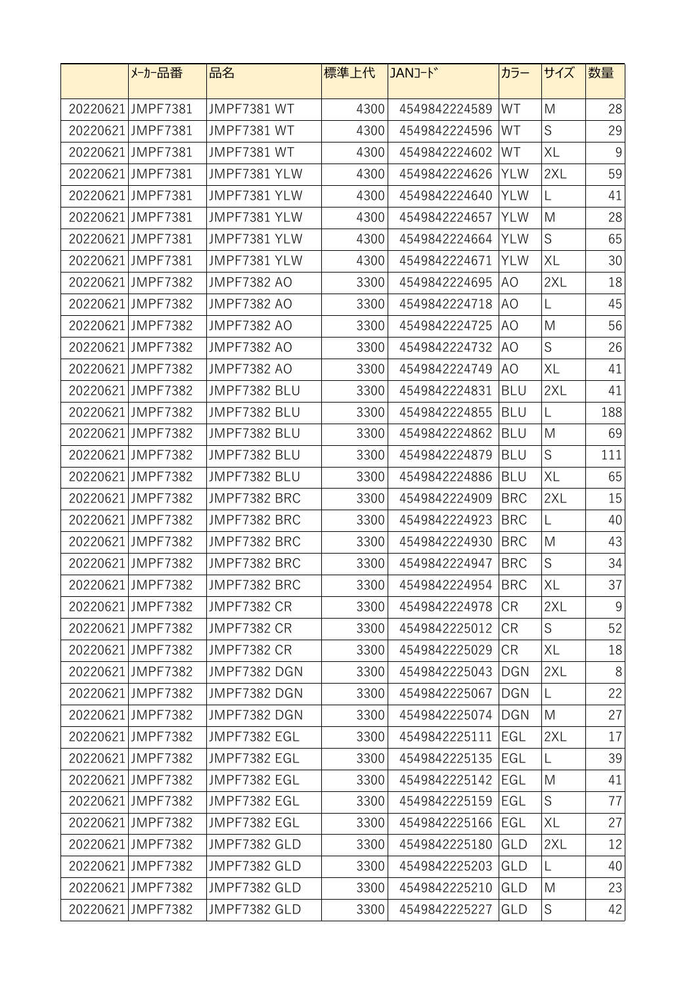| メーカー品番            | 品名                 | 標準上代 | JANJ-ド        | カラー        | サイズ         | 数量    |
|-------------------|--------------------|------|---------------|------------|-------------|-------|
| 20220621 JMPF7381 | <b>JMPF7381 WT</b> | 4300 | 4549842224589 | WT         | M           | 28    |
| 20220621 JMPF7381 | <b>JMPF7381 WT</b> | 4300 | 4549842224596 | WT         | $\mathsf S$ | 29    |
| 20220621 JMPF7381 | <b>JMPF7381 WT</b> | 4300 | 4549842224602 | WT         | XL          | 9     |
| 20220621 JMPF7381 | JMPF7381 YLW       | 4300 | 4549842224626 | <b>YLW</b> | 2XL         | 59    |
| 20220621 JMPF7381 | JMPF7381 YLW       | 4300 | 4549842224640 | <b>YLW</b> | L           | 41    |
| 20220621JMPF7381  | JMPF7381 YLW       | 4300 | 4549842224657 | <b>YLW</b> | M           | 28    |
| 20220621 JMPF7381 | JMPF7381 YLW       | 4300 | 4549842224664 | <b>YLW</b> | $\mathsf S$ | 65    |
| 20220621 JMPF7381 | JMPF7381 YLW       | 4300 | 4549842224671 | <b>YLW</b> | XL          | 30    |
| 20220621 JMPF7382 | <b>JMPF7382 AO</b> | 3300 | 4549842224695 | AO         | 2XL         | 18    |
| 20220621 JMPF7382 | <b>JMPF7382 AO</b> | 3300 | 4549842224718 | AO.        | L           | 45    |
| 20220621 JMPF7382 | <b>JMPF7382 AO</b> | 3300 | 4549842224725 | AO         | M           | 56    |
| 20220621 JMPF7382 | <b>JMPF7382 AO</b> | 3300 | 4549842224732 | AO         | $\mathsf S$ | 26    |
| 20220621 JMPF7382 | <b>JMPF7382 AO</b> | 3300 | 4549842224749 | AO         | XL          | 41    |
| 20220621 JMPF7382 | JMPF7382 BLU       | 3300 | 4549842224831 | <b>BLU</b> | 2XL         | 41    |
| 20220621 JMPF7382 | JMPF7382 BLU       | 3300 | 4549842224855 | <b>BLU</b> | L           | 188   |
| 20220621 JMPF7382 | JMPF7382 BLU       | 3300 | 4549842224862 | <b>BLU</b> | M           | 69    |
| 20220621 JMPF7382 | JMPF7382 BLU       | 3300 | 4549842224879 | <b>BLU</b> | S           | 111   |
| 20220621 JMPF7382 | JMPF7382 BLU       | 3300 | 4549842224886 | <b>BLU</b> | XL          | 65    |
| 20220621 JMPF7382 | JMPF7382 BRC       | 3300 | 4549842224909 | <b>BRC</b> | 2XL         | 15    |
| 20220621 JMPF7382 | JMPF7382 BRC       | 3300 | 4549842224923 | <b>BRC</b> | L           | 40    |
| 20220621 JMPF7382 | JMPF7382 BRC       | 3300 | 4549842224930 | <b>BRC</b> | M           | 43    |
| 20220621 JMPF7382 | JMPF7382 BRC       | 3300 | 4549842224947 | <b>BRC</b> | S           | 34    |
| 20220621 JMPF7382 | JMPF7382 BRC       | 3300 | 4549842224954 | <b>BRC</b> | XL          | 37    |
| 20220621 JMPF7382 | <b>JMPF7382 CR</b> | 3300 | 4549842224978 | <b>CR</b>  | 2XL         | $9\,$ |
| 20220621 JMPF7382 | <b>JMPF7382 CR</b> | 3300 | 4549842225012 | <b>CR</b>  | S           | 52    |
| 20220621 JMPF7382 | <b>JMPF7382 CR</b> | 3300 | 4549842225029 | <b>CR</b>  | XL          | 18    |
| 20220621 JMPF7382 | JMPF7382 DGN       | 3300 | 4549842225043 | <b>DGN</b> | 2XL         | 8     |
| 20220621 JMPF7382 | JMPF7382 DGN       | 3300 | 4549842225067 | <b>DGN</b> | $\mathsf L$ | 22    |
| 20220621 JMPF7382 | JMPF7382 DGN       | 3300 | 4549842225074 | <b>DGN</b> | M           | 27    |
| 20220621 JMPF7382 | JMPF7382 EGL       | 3300 | 4549842225111 | <b>EGL</b> | 2XL         | 17    |
| 20220621 JMPF7382 | JMPF7382 EGL       | 3300 | 4549842225135 | EGL        | L           | 39    |
| 20220621 JMPF7382 | JMPF7382 EGL       | 3300 | 4549842225142 | EGL        | M           | 41    |
| 20220621 JMPF7382 | JMPF7382 EGL       | 3300 | 4549842225159 | EGL        | S           | 77    |
| 20220621 JMPF7382 | JMPF7382 EGL       | 3300 | 4549842225166 | EGL        | XL          | 27    |
| 20220621 JMPF7382 | JMPF7382 GLD       | 3300 | 4549842225180 | GLD        | 2XL         | 12    |
| 20220621 JMPF7382 | JMPF7382 GLD       | 3300 | 4549842225203 | GLD        | L           | 40    |
| 20220621 JMPF7382 | JMPF7382 GLD       | 3300 | 4549842225210 | GLD        | M           | 23    |
| 20220621 JMPF7382 | JMPF7382 GLD       | 3300 | 4549842225227 | GLD        | $\mathsf S$ | 42    |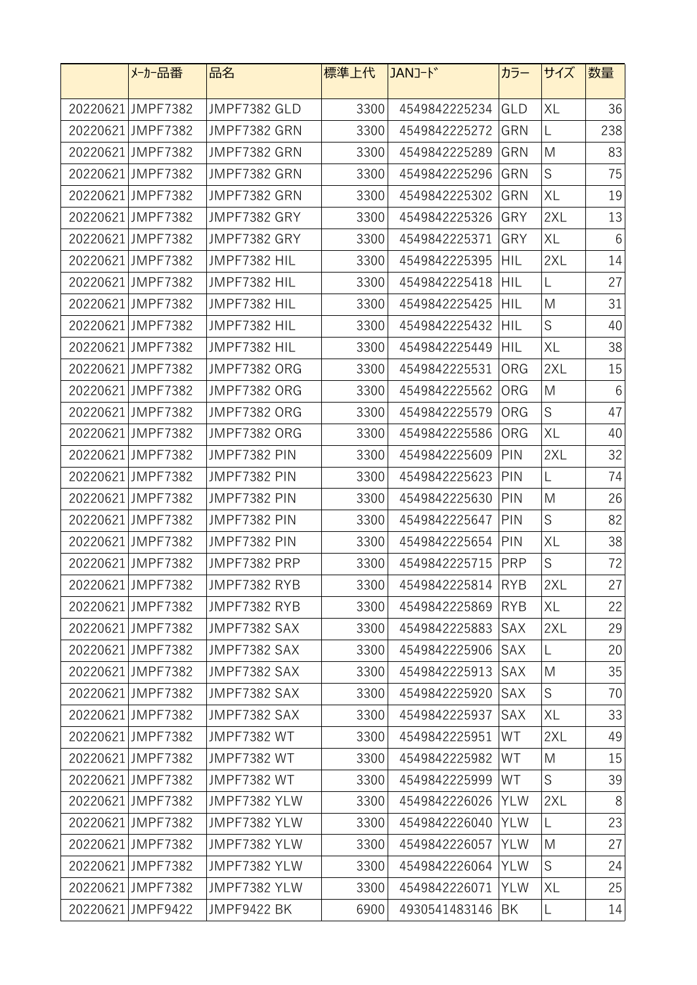| メーカー品番            | 品名                  | 標準上代 | JANJ-k <sup>*</sup> | カラー        | サイズ | 数量              |
|-------------------|---------------------|------|---------------------|------------|-----|-----------------|
| 20220621 JMPF7382 | JMPF7382 GLD        | 3300 | 4549842225234       | GLD        | XL  | 36              |
| 20220621 JMPF7382 | JMPF7382 GRN        | 3300 | 4549842225272       | GRN        | L   | 238             |
| 20220621 JMPF7382 | JMPF7382 GRN        | 3300 | 4549842225289       | GRN        | M   | 83              |
| 20220621 JMPF7382 | JMPF7382 GRN        | 3300 | 4549842225296       | GRN        | S   | 75              |
| 20220621 JMPF7382 | JMPF7382 GRN        | 3300 | 4549842225302       | GRN        | XL  | 19              |
| 20220621 JMPF7382 | JMPF7382 GRY        | 3300 | 4549842225326       | GRY        | 2XL | 13              |
| 20220621 JMPF7382 | JMPF7382 GRY        | 3300 | 4549842225371       | GRY        | XL  | $6\phantom{1}6$ |
| 20220621 JMPF7382 | JMPF7382 HIL        | 3300 | 4549842225395       | HIL        | 2XL | 14              |
| 20220621 JMPF7382 | JMPF7382 HIL        | 3300 | 4549842225418       | <b>HIL</b> | L   | 27              |
| 20220621 JMPF7382 | JMPF7382 HIL        | 3300 | 4549842225425       | HIL        | M   | 31              |
| 20220621 JMPF7382 | JMPF7382 HIL        | 3300 | 4549842225432       | HIL        | S   | 40              |
| 20220621 JMPF7382 | JMPF7382 HIL        | 3300 | 4549842225449       | HIL        | XL  | 38              |
| 20220621 JMPF7382 | <b>JMPF7382 ORG</b> | 3300 | 4549842225531       | ORG        | 2XL | 15              |
| 20220621 JMPF7382 | JMPF7382 ORG        | 3300 | 4549842225562       | ORG        | M   | $6\phantom{1}6$ |
| 20220621 JMPF7382 | JMPF7382 ORG        | 3300 | 4549842225579       | ORG        | S   | 47              |
| 20220621 JMPF7382 | <b>JMPF7382 ORG</b> | 3300 | 4549842225586       | ORG        | XL  | 40              |
| 20220621 JMPF7382 | JMPF7382 PIN        | 3300 | 4549842225609       | PIN        | 2XL | 32              |
| 20220621 JMPF7382 | JMPF7382 PIN        | 3300 | 4549842225623       | <b>PIN</b> | L   | 74              |
| 20220621 JMPF7382 | JMPF7382 PIN        | 3300 | 4549842225630       | PIN        | M   | 26              |
| 20220621 JMPF7382 | JMPF7382 PIN        | 3300 | 4549842225647       | PIN        | S   | 82              |
| 20220621 JMPF7382 | JMPF7382 PIN        | 3300 | 4549842225654       | PIN        | XL  | 38              |
| 20220621 JMPF7382 | JMPF7382 PRP        | 3300 | 4549842225715       | <b>PRP</b> | S   | 72              |
| 20220621 JMPF7382 | JMPF7382 RYB        | 3300 | 4549842225814       | RYB        | 2XL | 27              |
| 20220621 JMPF7382 | JMPF7382 RYB        | 3300 | 4549842225869       | RYB        | XL  | 22              |
| 20220621 JMPF7382 | JMPF7382 SAX        | 3300 | 4549842225883       | <b>SAX</b> | 2XL | 29              |
| 20220621 JMPF7382 | JMPF7382 SAX        | 3300 | 4549842225906       | SAX        | L   | 20              |
| 20220621 JMPF7382 | JMPF7382 SAX        | 3300 | 4549842225913       | <b>SAX</b> | M   | 35              |
| 20220621 JMPF7382 | JMPF7382 SAX        | 3300 | 4549842225920       | SAX        | S   | 70              |
| 20220621 JMPF7382 | JMPF7382 SAX        | 3300 | 4549842225937       | <b>SAX</b> | XL  | 33              |
| 20220621 JMPF7382 | JMPF7382 WT         | 3300 | 4549842225951       | WT         | 2XL | 49              |
| 20220621 JMPF7382 | <b>JMPF7382 WT</b>  | 3300 | 4549842225982       | WT         | M   | 15              |
| 20220621 JMPF7382 | JMPF7382 WT         | 3300 | 4549842225999       | WT         | S   | 39              |
| 20220621 JMPF7382 | JMPF7382 YLW        | 3300 | 4549842226026       | YLW        | 2XL | 8               |
| 20220621 JMPF7382 | JMPF7382 YLW        | 3300 | 4549842226040       | <b>YLW</b> | L   | 23              |
| 20220621 JMPF7382 | JMPF7382 YLW        | 3300 | 4549842226057       | <b>YLW</b> | M   | 27              |
| 20220621 JMPF7382 | JMPF7382 YLW        | 3300 | 4549842226064       | <b>YLW</b> | S   | 24              |
| 20220621 JMPF7382 | JMPF7382 YLW        | 3300 | 4549842226071       | <b>YLW</b> | XL  | 25              |
| 20220621 JMPF9422 | <b>JMPF9422 BK</b>  | 6900 | 4930541483146       | BK         | L   | 14              |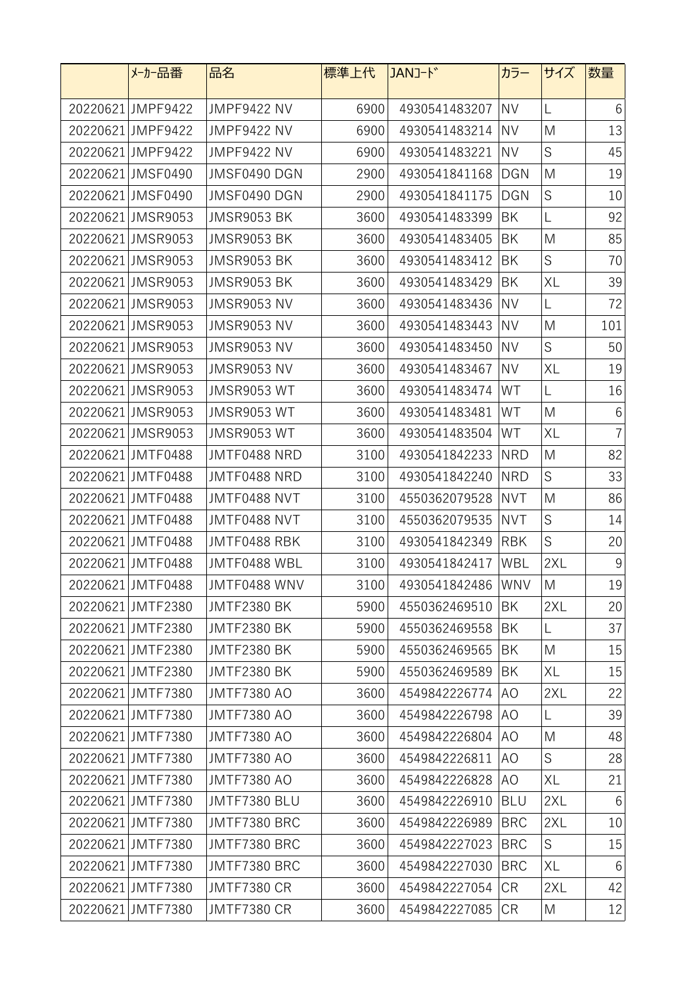|          | メーカー品番            | 品名                 | 標準上代 | JANJ-ド            | カラー        | サイズ         | 数量              |
|----------|-------------------|--------------------|------|-------------------|------------|-------------|-----------------|
|          | 20220621 JMPF9422 | <b>JMPF9422 NV</b> | 6900 | 4930541483207     | <b>NV</b>  | L           | 6               |
|          | 20220621 JMPF9422 | <b>JMPF9422 NV</b> | 6900 | 4930541483214     | <b>NV</b>  | M           | 13              |
|          | 20220621 JMPF9422 | <b>JMPF9422 NV</b> | 6900 | 4930541483221     | <b>NV</b>  | $\mathsf S$ | 45              |
|          | 20220621 JMSF0490 | JMSF0490 DGN       | 2900 | 4930541841168     | <b>DGN</b> | M           | 19              |
|          | 20220621 JMSF0490 | JMSF0490 DGN       | 2900 | 4930541841175     | <b>DGN</b> | $\mathsf S$ | 10              |
| 20220621 | <b>JMSR9053</b>   | <b>JMSR9053 BK</b> | 3600 | 4930541483399     | BK         | L           | 92              |
|          | 20220621 JMSR9053 | JMSR9053 BK        | 3600 | 4930541483405     | BK         | M           | 85              |
|          | 20220621 JMSR9053 | <b>JMSR9053 BK</b> | 3600 | 4930541483412     | ΒK         | $\mathsf S$ | 70              |
|          | 20220621 JMSR9053 | JMSR9053 BK        | 3600 | 4930541483429     | BK         | XL          | 39              |
|          | 20220621 JMSR9053 | <b>JMSR9053 NV</b> | 3600 | 4930541483436     | <b>NV</b>  | L           | 72              |
|          | 20220621 JMSR9053 | <b>JMSR9053 NV</b> | 3600 | 4930541483443     | <b>NV</b>  | M           | 101             |
|          | 20220621 JMSR9053 | <b>JMSR9053 NV</b> | 3600 | 4930541483450     | <b>NV</b>  | $\mathsf S$ | 50              |
|          | 20220621 JMSR9053 | <b>JMSR9053 NV</b> | 3600 | 4930541483467     | <b>NV</b>  | XL          | 19              |
|          | 20220621 JMSR9053 | <b>JMSR9053 WT</b> | 3600 | 4930541483474     | WT         | L           | 16              |
|          | 20220621 JMSR9053 | <b>JMSR9053 WT</b> | 3600 | 4930541483481     | WT         | M           | $6\,$           |
|          | 20220621 JMSR9053 | <b>JMSR9053 WT</b> | 3600 | 4930541483504     | WT         | XL          | $\overline{7}$  |
|          | 20220621 JMTF0488 | JMTF0488 NRD       | 3100 | 4930541842233     | <b>NRD</b> | M           | 82              |
|          | 20220621 JMTF0488 | JMTF0488 NRD       | 3100 | 4930541842240     | <b>NRD</b> | $\mathsf S$ | 33              |
|          | 20220621 JMTF0488 | JMTF0488 NVT       | 3100 | 4550362079528     | <b>NVT</b> | M           | 86              |
|          | 20220621 JMTF0488 | JMTF0488 NVT       | 3100 | 4550362079535     | <b>NVT</b> | S           | 14              |
|          | 20220621 JMTF0488 | JMTF0488 RBK       | 3100 | 4930541842349     | <b>RBK</b> | $\mathsf S$ | 20              |
|          | 20220621 JMTF0488 | JMTF0488 WBL       | 3100 | 4930541842417     | WBL        | 2XL         | $9\,$           |
|          | 20220621 JMTF0488 | JMTF0488 WNV       | 3100 | 4930541842486 WNV |            | M           | 19              |
|          | 20220621 JMTF2380 | <b>JMTF2380 BK</b> | 5900 | 4550362469510     | BK         | 2XL         | 20              |
|          | 20220621 JMTF2380 | <b>JMTF2380 BK</b> | 5900 | 4550362469558     | ΒK         | L           | 37              |
|          | 20220621 JMTF2380 | <b>JMTF2380 BK</b> | 5900 | 4550362469565     | BK         | M           | 15              |
|          | 20220621 JMTF2380 | <b>JMTF2380 BK</b> | 5900 | 4550362469589     | BK         | XL          | 15              |
|          | 20220621 JMTF7380 | <b>JMTF7380 AO</b> | 3600 | 4549842226774 AO  |            | 2XL         | 22              |
|          | 20220621 JMTF7380 | <b>JMTF7380 AO</b> | 3600 | 4549842226798     | AO.        | L           | 39              |
|          | 20220621 JMTF7380 | <b>JMTF7380 AO</b> | 3600 | 4549842226804     | AO.        | M           | 48              |
|          | 20220621 JMTF7380 | <b>JMTF7380 AO</b> | 3600 | 4549842226811     | AO         | S           | 28              |
|          | 20220621 JMTF7380 | <b>JMTF7380 AO</b> | 3600 | 4549842226828     | AO         | XL          | 21              |
|          | 20220621 JMTF7380 | JMTF7380 BLU       | 3600 | 4549842226910     | <b>BLU</b> | 2XL         | $6\phantom{.}6$ |
|          | 20220621 JMTF7380 | JMTF7380 BRC       | 3600 | 4549842226989     | <b>BRC</b> | 2XL         | 10              |
|          | 20220621 JMTF7380 | JMTF7380 BRC       | 3600 | 4549842227023     | <b>BRC</b> | S           | 15              |
|          | 20220621 JMTF7380 | JMTF7380 BRC       | 3600 | 4549842227030     | <b>BRC</b> | XL          | 6               |
|          | 20220621 JMTF7380 | <b>JMTF7380 CR</b> | 3600 | 4549842227054     | <b>CR</b>  | 2XL         | 42              |
|          | 20220621 JMTF7380 | <b>JMTF7380 CR</b> | 3600 | 4549842227085     | <b>CR</b>  | M           | 12              |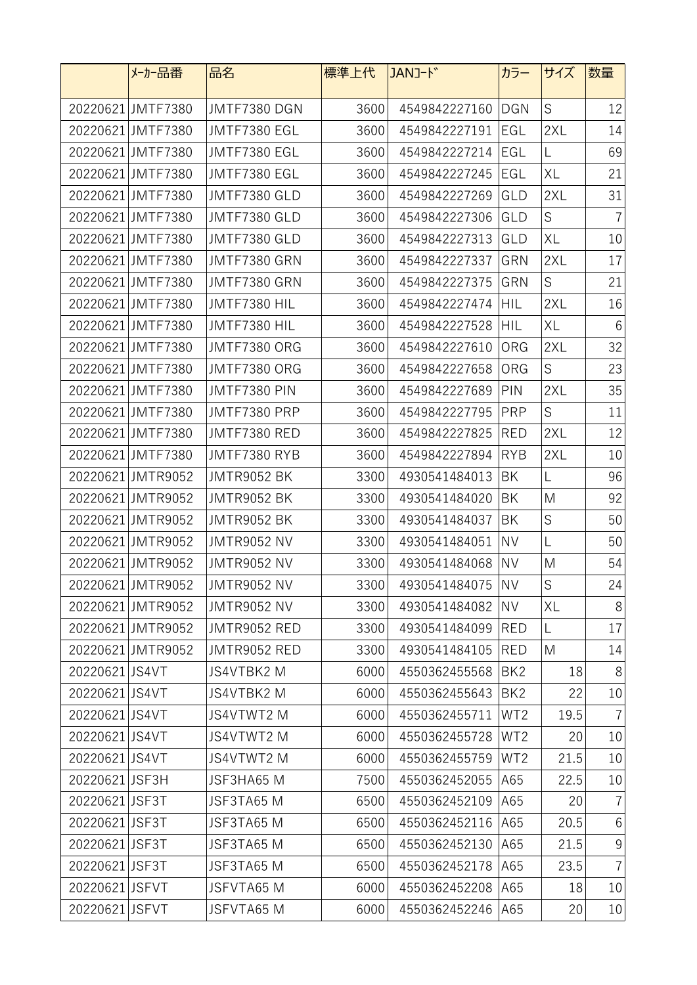|                | メーカー品番            | 品名                 | 標準上代 | JANコード           | カラー             | サイズ         | 数量              |
|----------------|-------------------|--------------------|------|------------------|-----------------|-------------|-----------------|
|                | 20220621 JMTF7380 | JMTF7380 DGN       | 3600 | 4549842227160    | <b>DGN</b>      | S           | 12              |
|                | 20220621 JMTF7380 | JMTF7380 EGL       | 3600 | 4549842227191    | EGL             | 2XL         | 14              |
|                | 20220621 JMTF7380 | JMTF7380 EGL       | 3600 | 4549842227214    | EGL             | L           | 69              |
|                | 20220621 JMTF7380 | JMTF7380 EGL       | 3600 | 4549842227245    | EGL             | XL          | 21              |
|                | 20220621 JMTF7380 | JMTF7380 GLD       | 3600 | 4549842227269    | GLD             | 2XL         | 31              |
|                | 20220621 JMTF7380 | JMTF7380 GLD       | 3600 | 4549842227306    | GLD             | S           | $\overline{7}$  |
|                | 20220621 JMTF7380 | JMTF7380 GLD       | 3600 | 4549842227313    | GLD             | XL          | 10              |
|                | 20220621 JMTF7380 | JMTF7380 GRN       | 3600 | 4549842227337    | GRN             | 2XL         | 17              |
|                | 20220621 JMTF7380 | JMTF7380 GRN       | 3600 | 4549842227375    | GRN             | S           | 21              |
|                | 20220621 JMTF7380 | JMTF7380 HIL       | 3600 | 4549842227474    | HIL             | 2XL         | 16              |
|                | 20220621 JMTF7380 | JMTF7380 HIL       | 3600 | 4549842227528    | <b>HIL</b>      | XL          | $6\phantom{.}6$ |
|                | 20220621 JMTF7380 | JMTF7380 ORG       | 3600 | 4549842227610    | ORG             | 2XL         | 32              |
|                | 20220621 JMTF7380 | JMTF7380 ORG       | 3600 | 4549842227658    | ORG             | S           | 23              |
|                | 20220621 JMTF7380 | JMTF7380 PIN       | 3600 | 4549842227689    | PIN             | 2XL         | 35              |
|                | 20220621 JMTF7380 | JMTF7380 PRP       | 3600 | 4549842227795    | <b>PRP</b>      | $\mathsf S$ | 11              |
|                | 20220621 JMTF7380 | JMTF7380 RED       | 3600 | 4549842227825    | <b>RED</b>      | 2XL         | 12              |
|                | 20220621 JMTF7380 | JMTF7380 RYB       | 3600 | 4549842227894    | <b>RYB</b>      | 2XL         | 10              |
|                | 20220621 JMTR9052 | JMTR9052 BK        | 3300 | 4930541484013    | BK              | L           | 96              |
|                | 20220621 JMTR9052 | <b>JMTR9052 BK</b> | 3300 | 4930541484020    | BK              | M           | 92              |
|                | 20220621 JMTR9052 | JMTR9052 BK        | 3300 | 4930541484037    | ΒK              | $\mathsf S$ | 50              |
|                | 20220621 JMTR9052 | <b>JMTR9052 NV</b> | 3300 | 4930541484051    | <b>NV</b>       | L           | 50              |
|                | 20220621 JMTR9052 | <b>JMTR9052 NV</b> | 3300 | 4930541484068    | <b>NV</b>       | M           | 54              |
|                | 20220621 JMTR9052 | JMTR9052 NV        | 3300 | 4930541484075 NV |                 | $\mathsf S$ | 24              |
|                | 20220621 JMTR9052 | <b>JMTR9052 NV</b> | 3300 | 4930541484082    | <b>NV</b>       | XL          | 8               |
|                | 20220621 JMTR9052 | JMTR9052 RED       | 3300 | 4930541484099    | RED             | L           | 17              |
|                | 20220621 JMTR9052 | JMTR9052 RED       | 3300 | 4930541484105    | RED             | M           | 14              |
| 20220621 JS4VT |                   | JS4VTBK2 M         | 6000 | 4550362455568    | BK <sub>2</sub> | 18          | 8               |
| 20220621 JS4VT |                   | JS4VTBK2 M         | 6000 | 4550362455643    | BK <sub>2</sub> | 22          | 10              |
| 20220621 JS4VT |                   | JS4VTWT2 M         | 6000 | 4550362455711    | WT <sub>2</sub> | 19.5        | $\overline{7}$  |
| 20220621 JS4VT |                   | JS4VTWT2 M         | 6000 | 4550362455728    | WT <sub>2</sub> | 20          | $10\,$          |
| 20220621 JS4VT |                   | JS4VTWT2 M         | 6000 | 4550362455759    | WT <sub>2</sub> | 21.5        | 10              |
| 20220621 JSF3H |                   | JSF3HA65 M         | 7500 | 4550362452055    | A65             | 22.5        | 10              |
| 20220621 JSF3T |                   | JSF3TA65 M         | 6500 | 4550362452109    | A65             | 20          | $\overline{7}$  |
| 20220621 JSF3T |                   | JSF3TA65 M         | 6500 | 4550362452116    | A65             | 20.5        | $6\,$           |
| 20220621 JSF3T |                   | JSF3TA65 M         | 6500 | 4550362452130    | A65             | 21.5        | $9\,$           |
| 20220621 JSF3T |                   | JSF3TA65 M         | 6500 | 4550362452178    | A65             | 23.5        | $\overline{7}$  |
| 20220621 JSFVT |                   | JSFVTA65 M         | 6000 | 4550362452208    | A65             | 18          | 10              |
| 20220621 JSFVT |                   | JSFVTA65 M         | 6000 | 4550362452246    | A65             | 20          | $10\,$          |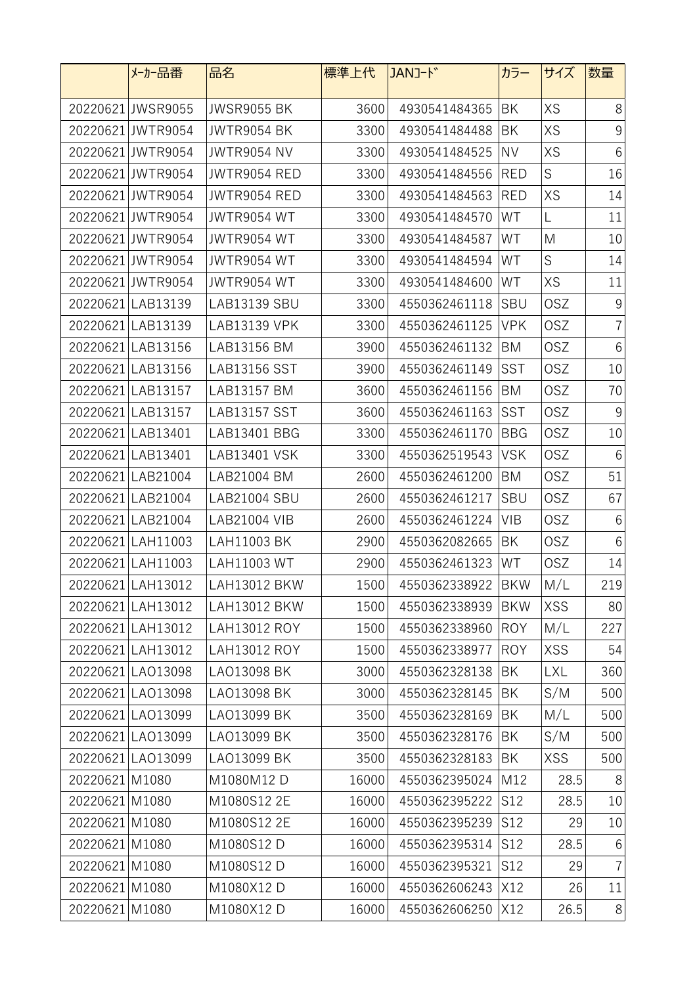|                | メーカー品番            | 品名                  | 標準上代  | JANJ-ド            | カラー        | サイズ        | 数量              |
|----------------|-------------------|---------------------|-------|-------------------|------------|------------|-----------------|
|                | 20220621 JWSR9055 | <b>JWSR9055 BK</b>  | 3600  | 4930541484365     | BK         | XS         | 8               |
|                | 20220621 JWTR9054 | <b>JWTR9054 BK</b>  | 3300  | 4930541484488     | BK         | XS         | $\mathsf 9$     |
|                | 20220621 JWTR9054 | <b>JWTR9054 NV</b>  | 3300  | 4930541484525     | <b>NV</b>  | XS         | $6\phantom{.}6$ |
|                | 20220621 JWTR9054 | <b>JWTR9054 RED</b> | 3300  | 4930541484556     | <b>RED</b> | S          | 16              |
|                | 20220621 JWTR9054 | JWTR9054 RED        | 3300  | 4930541484563     | <b>RED</b> | XS         | 14              |
|                | 20220621 JWTR9054 | <b>JWTR9054 WT</b>  | 3300  | 4930541484570     | WT         | L          | 11              |
|                | 20220621 JWTR9054 | <b>JWTR9054 WT</b>  | 3300  | 4930541484587     | WT         | M          | 10              |
|                | 20220621 JWTR9054 | <b>JWTR9054 WT</b>  | 3300  | 4930541484594     | WT         | S          | 14              |
|                | 20220621 JWTR9054 | <b>JWTR9054 WT</b>  | 3300  | 4930541484600     | WT         | XS         | 11              |
|                | 20220621 LAB13139 | LAB13139 SBU        | 3300  | 4550362461118     | SBU        | <b>OSZ</b> | 9               |
|                | 20220621 LAB13139 | LAB13139 VPK        | 3300  | 4550362461125     | <b>VPK</b> | <b>OSZ</b> | $\overline{7}$  |
|                | 20220621 LAB13156 | LAB13156 BM         | 3900  | 4550362461132     | BM         | <b>OSZ</b> | $6\,$           |
|                | 20220621 LAB13156 | LAB13156 SST        | 3900  | 4550362461149     | <b>SST</b> | <b>OSZ</b> | 10              |
|                | 20220621 LAB13157 | LAB13157 BM         | 3600  | 4550362461156     | BM         | <b>OSZ</b> | 70              |
|                | 20220621 LAB13157 | <b>LAB13157 SST</b> | 3600  | 4550362461163     | <b>SST</b> | <b>OSZ</b> | $9\,$           |
|                | 20220621 LAB13401 | LAB13401 BBG        | 3300  | 4550362461170     | <b>BBG</b> | <b>OSZ</b> | 10              |
|                | 20220621 LAB13401 | LAB13401 VSK        | 3300  | 4550362519543     | <b>VSK</b> | <b>OSZ</b> | 6               |
|                | 20220621 LAB21004 | LAB21004 BM         | 2600  | 4550362461200     | BM         | <b>OSZ</b> | 51              |
|                | 20220621 LAB21004 | <b>LAB21004 SBU</b> | 2600  | 4550362461217     | <b>SBU</b> | <b>OSZ</b> | 67              |
|                | 20220621 LAB21004 | LAB21004 VIB        | 2600  | 4550362461224     | VIB        | <b>OSZ</b> | 6               |
|                | 20220621 LAH11003 | LAH11003 BK         | 2900  | 4550362082665     | ΒK         | <b>OSZ</b> | $6\,$           |
|                | 20220621 LAH11003 | LAH11003 WT         | 2900  | 4550362461323     | WT         | <b>OSZ</b> | 14              |
|                | 20220621 LAH13012 | LAH13012 BKW        | 1500  | 4550362338922 BKW |            | M/L        | 219             |
|                | 20220621 LAH13012 | LAH13012 BKW        | 1500  | 4550362338939     | <b>BKW</b> | <b>XSS</b> | 80              |
|                | 20220621 LAH13012 | LAH13012 ROY        | 1500  | 4550362338960     | ROY        | M/L        | 227             |
|                | 20220621 LAH13012 | LAH13012 ROY        | 1500  | 4550362338977     | <b>ROY</b> | <b>XSS</b> | 54              |
|                | 20220621 LAO13098 | LA013098 BK         | 3000  | 4550362328138     | ΒK         | <b>LXL</b> | 360             |
|                | 20220621 LAO13098 | LA013098 BK         | 3000  | 4550362328145     | BK         | S/M        | 500             |
|                | 20220621LAO13099  | LA013099 BK         | 3500  | 4550362328169     | BK         | M/L        | 500             |
|                | 20220621 LAO13099 | LA013099 BK         | 3500  | 4550362328176     | BK         | S/M        | 500             |
|                | 20220621 LAO13099 | LA013099 BK         | 3500  | 4550362328183     | BK         | <b>XSS</b> | 500             |
| 20220621 M1080 |                   | M1080M12 D          | 16000 | 4550362395024     | M12        | 28.5       | 8               |
| 20220621 M1080 |                   | M1080S12 2E         | 16000 | 4550362395222     | S12        | 28.5       | 10              |
| 20220621 M1080 |                   | M1080S12 2E         | 16000 | 4550362395239     | S12        | 29         | 10              |
| 20220621 M1080 |                   | M1080S12 D          | 16000 | 4550362395314     | S12        | 28.5       | $6\phantom{.}6$ |
| 20220621 M1080 |                   | M1080S12 D          | 16000 | 4550362395321     | S12        | 29         | $\overline{7}$  |
| 20220621 M1080 |                   | M1080X12 D          | 16000 | 4550362606243     | X12        | 26         | 11              |
| 20220621 M1080 |                   | M1080X12 D          | 16000 | 4550362606250     | X12        | 26.5       | 8               |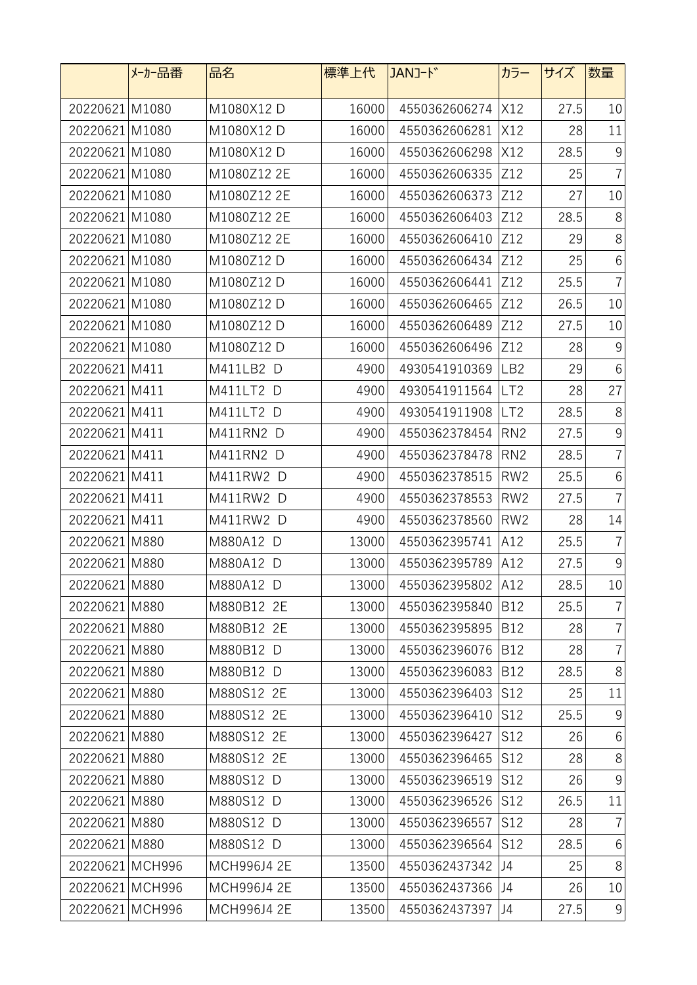|                 | メーカー品番 | 品名          | 標準上代  | JANJ-ド            | カラー             | サイズ  | 数量             |
|-----------------|--------|-------------|-------|-------------------|-----------------|------|----------------|
| 20220621 M1080  |        | M1080X12 D  | 16000 | 4550362606274     | X12             | 27.5 | 10             |
| 20220621 M1080  |        | M1080X12 D  | 16000 | 4550362606281     | X12             | 28   | 11             |
| 20220621 M1080  |        | M1080X12 D  | 16000 | 4550362606298     | X12             | 28.5 | $9\,$          |
| 20220621 M1080  |        | M1080Z12 2E | 16000 | 4550362606335     | Z12             | 25   | $\overline{7}$ |
| 20220621 M1080  |        | M1080Z12 2E | 16000 | 4550362606373     | Z12             | 27   | 10             |
| 20220621 M1080  |        | M1080Z12 2E | 16000 | 4550362606403     | Z12             | 28.5 | $8\,$          |
| 20220621 M1080  |        | M1080Z12 2E | 16000 | 4550362606410     | Z12             | 29   | 8              |
| 20220621 M1080  |        | M1080Z12 D  | 16000 | 4550362606434     | Z12             | 25   | $6\,$          |
| 20220621 M1080  |        | M1080Z12 D  | 16000 | 4550362606441     | Z12             | 25.5 | $\overline{7}$ |
| 20220621 M1080  |        | M1080Z12 D  | 16000 | 4550362606465     | Z12             | 26.5 | 10             |
| 20220621 M1080  |        | M1080Z12 D  | 16000 | 4550362606489     | Z12             | 27.5 | 10             |
| 20220621 M1080  |        | M1080Z12 D  | 16000 | 4550362606496     | Z12             | 28   | $9\,$          |
| 20220621 M411   |        | M411LB2 D   | 4900  | 4930541910369     | LB <sub>2</sub> | 29   | $6\,$          |
| 20220621 M411   |        | M411LT2 D   | 4900  | 4930541911564     | LT <sub>2</sub> | 28   | 27             |
| 20220621 M411   |        | M411LT2 D   | 4900  | 4930541911908     | LT <sub>2</sub> | 28.5 | 8              |
| 20220621 M411   |        | M411RN2 D   | 4900  | 4550362378454     | RN2             | 27.5 | 9              |
| 20220621 M411   |        | M411RN2 D   | 4900  | 4550362378478     | RN <sub>2</sub> | 28.5 | $\overline{7}$ |
| 20220621 M411   |        | M411RW2 D   | 4900  | 4550362378515     | RW <sub>2</sub> | 25.5 | $6\,$          |
| 20220621 M411   |        | M411RW2 D   | 4900  | 4550362378553     | RW <sub>2</sub> | 27.5 | $\overline{7}$ |
| 20220621 M411   |        | M411RW2 D   | 4900  | 4550362378560     | RW <sub>2</sub> | 28   | 14             |
| 20220621 M880   |        | M880A12 D   | 13000 | 4550362395741     | A12             | 25.5 | $\overline{7}$ |
| 20220621 M880   |        | M880A12 D   | 13000 | 4550362395789     | A12             | 27.5 | 9              |
| 20220621 M880   |        | M880A12 D   | 13000 | 4550362395802 A12 |                 | 28.5 | 10             |
| 20220621 M880   |        | M880B12 2E  | 13000 | 4550362395840     | B12             | 25.5 | $\overline{7}$ |
| 20220621 M880   |        | M880B12 2E  | 13000 | 4550362395895     | <b>B12</b>      | 28   | $\overline{7}$ |
| 20220621 M880   |        | M880B12 D   | 13000 | 4550362396076     | <b>B12</b>      | 28   | $\overline{7}$ |
| 20220621 M880   |        | M880B12 D   | 13000 | 4550362396083     | <b>B12</b>      | 28.5 | $8\,$          |
| 20220621 M880   |        | M880S12 2E  | 13000 | 4550362396403     | S12             | 25   | 11             |
| 20220621 M880   |        | M880S12 2E  | 13000 | 4550362396410     | S12             | 25.5 | $9\,$          |
| 20220621 M880   |        | M880S12 2E  | 13000 | 4550362396427     | S12             | 26   | 6              |
| 20220621 M880   |        | M880S12 2E  | 13000 | 4550362396465     | S12             | 28   | $8\,$          |
| 20220621 M880   |        | M880S12 D   | 13000 | 4550362396519     | S12             | 26   | 9              |
| 20220621 M880   |        | M880S12 D   | 13000 | 4550362396526     | S12             | 26.5 | 11             |
| 20220621 M880   |        | M880S12 D   | 13000 | 4550362396557     | S12             | 28   | $\overline{7}$ |
| 20220621 M880   |        | M880S12 D   | 13000 | 4550362396564     | S <sub>12</sub> | 28.5 | $6\,$          |
| 20220621 MCH996 |        | MCH996J4 2E | 13500 | 4550362437342     | J4              | 25   | $8\,$          |
| 20220621 MCH996 |        | MCH996J4 2E | 13500 | 4550362437366     | J4              | 26   | $10\,$         |
| 20220621 MCH996 |        | MCH996J4 2E | 13500 | 4550362437397     | IJ4             | 27.5 | $\mathsf 9$    |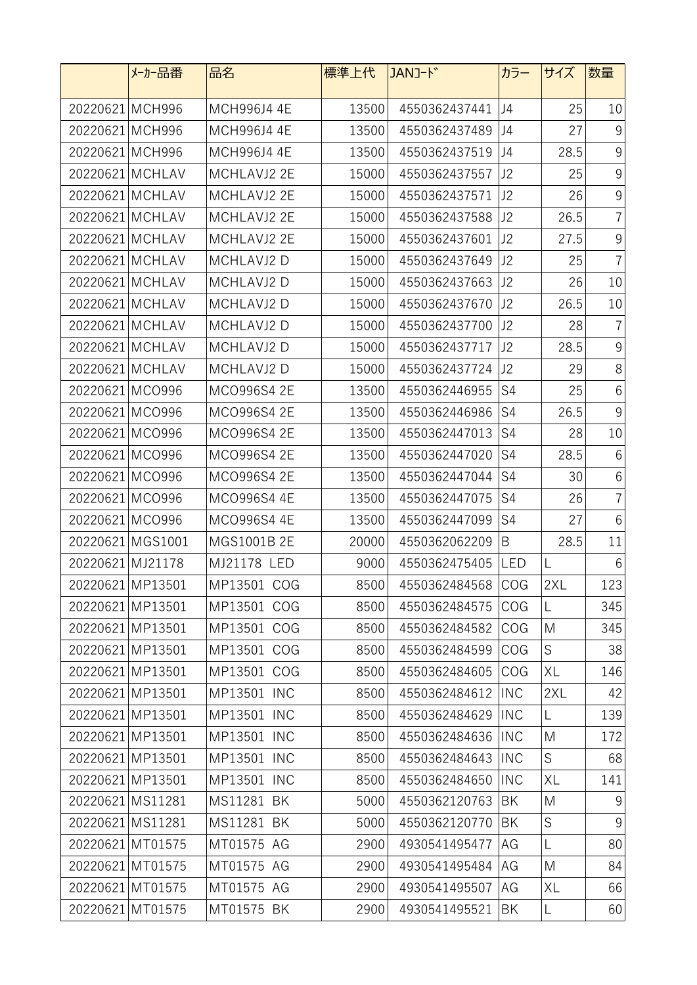|                  | メーカー品番           | 品名          | 標準上代  | JANJ-ド            | カラー            | サイズ           | 数量             |
|------------------|------------------|-------------|-------|-------------------|----------------|---------------|----------------|
| 20220621 MCH996  |                  | MCH996J4 4E | 13500 | 4550362437441     | J4             | 25            | 10             |
| 20220621 MCH996  |                  | MCH996J4 4E | 13500 | 4550362437489     | J <sub>4</sub> | 27            | $9\,$          |
| 20220621 MCH996  |                  | MCH996J4 4E | 13500 | 4550362437519     | J4             | 28.5          | $\overline{9}$ |
| 20220621 MCHLAV  |                  | MCHLAVJ2 2E | 15000 | 4550362437557     | J2             | 25            | 9              |
| 20220621 MCHLAV  |                  | MCHLAVJ2 2E | 15000 | 4550362437571     | J2             | 26            | $\overline{9}$ |
| 20220621 MCHLAV  |                  | MCHLAVJ2 2E | 15000 | 4550362437588     | J2             | 26.5          | $\overline{7}$ |
| 20220621 MCHLAV  |                  | MCHLAVJ2 2E | 15000 | 4550362437601     | J2             | 27.5          | 9              |
| 20220621 MCHLAV  |                  | MCHLAVJ2 D  | 15000 | 4550362437649     | J2             | 25            | $\overline{7}$ |
| 20220621 MCHLAV  |                  | MCHLAVJ2 D  | 15000 | 4550362437663     | J2             | 26            | 10             |
| 20220621 MCHLAV  |                  | MCHLAVJ2 D  | 15000 | 4550362437670     | J2             | 26.5          | 10             |
| 20220621 MCHLAV  |                  | MCHLAVJ2 D  | 15000 | 4550362437700     | J2             | 28            | $\overline{7}$ |
| 20220621 MCHLAV  |                  | MCHLAVJ2 D  | 15000 | 4550362437717     | J2             | 28.5          | $9\,$          |
| 20220621 MCHLAV  |                  | MCHLAVJ2 D  | 15000 | 4550362437724     | J2             | 29            | 8              |
| 20220621 MCO996  |                  | MCO996S4 2E | 13500 | 4550362446955     | S4             | 25            | 6              |
| 20220621 MCO996  |                  | MCO996S4 2E | 13500 | 4550362446986     | S4             | 26.5          | $9\,$          |
| 20220621 MCO996  |                  | MCO996S4 2E | 13500 | 4550362447013     | S4             | 28            | 10             |
| 20220621 MCO996  |                  | MCO996S4 2E | 13500 | 4550362447020     | S4             | 28.5          | 6              |
| 20220621 MCO996  |                  | MCO996S4 2E | 13500 | 4550362447044     | S4             | 30            | 6              |
| 20220621 MCO996  |                  | MCO996S4 4E | 13500 | 4550362447075     | S4             | 26            | $\overline{7}$ |
| 20220621 MCO996  |                  | MCO996S4 4E | 13500 | 4550362447099     | S4             | 27            | 6              |
|                  | 20220621 MGS1001 | MGS1001B 2E | 20000 | 4550362062209     | B              | 28.5          | 11             |
| 20220621 MJ21178 |                  | MJ21178 LED | 9000  | 4550362475405     | <b>LED</b>     | L             | 6              |
|                  | 20220621 MP13501 | MP13501 COG | 8500  | 4550362484568 COG |                | 2XL           | 123            |
|                  | 20220621 MP13501 | MP13501 COG | 8500  | 4550362484575     | COG            | L             | 345            |
|                  | 20220621 MP13501 | MP13501 COG | 8500  | 4550362484582 COG |                | M             | 345            |
|                  | 20220621 MP13501 | MP13501 COG | 8500  | 4550362484599     | COG            | S             | 38             |
|                  | 20220621 MP13501 | MP13501 COG | 8500  | 4550362484605     | COG            | XL            | 146            |
|                  | 20220621 MP13501 | MP13501 INC | 8500  | 4550362484612     | <b>INC</b>     | 2XL           | 42             |
|                  | 20220621 MP13501 | MP13501 INC | 8500  | 4550362484629     | <b>INC</b>     | L             | 139            |
|                  | 20220621 MP13501 | MP13501 INC | 8500  | 4550362484636     | <b>INC</b>     | M             | 172            |
|                  | 20220621 MP13501 | MP13501 INC | 8500  | 4550362484643     | <b>INC</b>     | $\mathsf S$   | 68             |
|                  | 20220621 MP13501 | MP13501 INC | 8500  | 4550362484650     | <b>INC</b>     | $\mathsf{XL}$ | 141            |
|                  | 20220621 MS11281 | MS11281 BK  | 5000  | 4550362120763     | BK             | M             | 9              |
|                  | 20220621 MS11281 | MS11281 BK  | 5000  | 4550362120770     | BK             | $\mathsf S$   | $9\,$          |
|                  | 20220621 MT01575 | MT01575 AG  | 2900  | 4930541495477     | AG             | L             | 80             |
|                  | 20220621 MT01575 | MT01575 AG  | 2900  | 4930541495484     | AG             | M             | 84             |
|                  | 20220621 MT01575 | MT01575 AG  | 2900  | 4930541495507     | AG             | XL            | 66             |
|                  | 20220621 MT01575 | MT01575 BK  | 2900  | 4930541495521     | BK             | L             | 60             |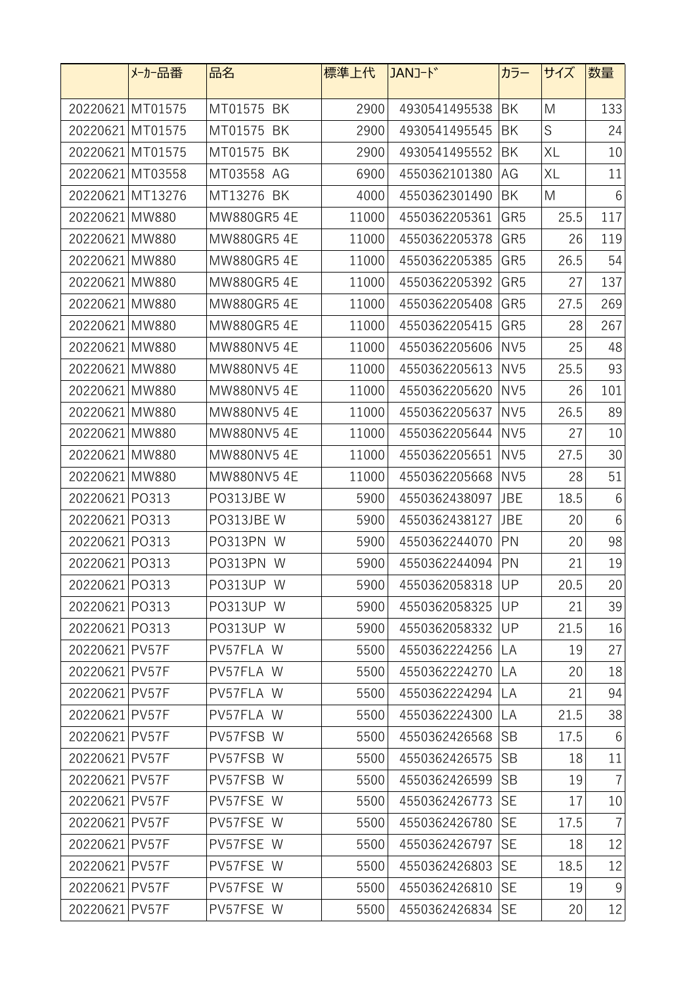|                  | メーカー品番           | 品名                | 標準上代  | JANJ-ド        | カラー             | サイズ  | 数量             |
|------------------|------------------|-------------------|-------|---------------|-----------------|------|----------------|
|                  | 20220621 MT01575 | MT01575 BK        | 2900  | 4930541495538 | BK              | M    | 133            |
|                  | 20220621 MT01575 | MT01575<br>BK     | 2900  | 4930541495545 | BK              | S    | 24             |
|                  | 20220621 MT01575 | MT01575 BK        | 2900  | 4930541495552 | BK              | XL   | 10             |
|                  | 20220621 MT03558 | MT03558 AG        | 6900  | 4550362101380 | AG              | XL   | 11             |
| 20220621 MT13276 |                  | MT13276 BK        | 4000  | 4550362301490 | BK              | M    | 6              |
| 20220621 MW880   |                  | MW880GR5 4E       | 11000 | 4550362205361 | GR <sub>5</sub> | 25.5 | 117            |
| 20220621 MW880   |                  | MW880GR5 4E       | 11000 | 4550362205378 | GR <sub>5</sub> | 26   | 119            |
| 20220621 MW880   |                  | <b>MW880GR54E</b> | 11000 | 4550362205385 | GR <sub>5</sub> | 26.5 | 54             |
| 20220621 MW880   |                  | MW880GR5 4E       | 11000 | 4550362205392 | GR <sub>5</sub> | 27   | 137            |
| 20220621 MW880   |                  | MW880GR5 4E       | 11000 | 4550362205408 | GR <sub>5</sub> | 27.5 | 269            |
| 20220621 MW880   |                  | MW880GR5 4E       | 11000 | 4550362205415 | GR <sub>5</sub> | 28   | 267            |
| 20220621 MW880   |                  | MW880NV5 4E       | 11000 | 4550362205606 | NV <sub>5</sub> | 25   | 48             |
| 20220621 MW880   |                  | MW880NV5 4E       | 11000 | 4550362205613 | NV <sub>5</sub> | 25.5 | 93             |
| 20220621 MW880   |                  | MW880NV5 4E       | 11000 | 4550362205620 | NV <sub>5</sub> | 26   | 101            |
| 20220621 MW880   |                  | MW880NV5 4E       | 11000 | 4550362205637 | NV <sub>5</sub> | 26.5 | 89             |
| 20220621 MW880   |                  | MW880NV5 4E       | 11000 | 4550362205644 | NV <sub>5</sub> | 27   | 10             |
| 20220621 MW880   |                  | MW880NV5 4E       | 11000 | 4550362205651 | NV <sub>5</sub> | 27.5 | 30             |
| 20220621 MW880   |                  | MW880NV5 4E       | 11000 | 4550362205668 | NV <sub>5</sub> | 28   | 51             |
| 20220621 PO313   |                  | PO313JBE W        | 5900  | 4550362438097 | <b>JBE</b>      | 18.5 | 6              |
| 20220621 PO313   |                  | PO313JBE W        | 5900  | 4550362438127 | JBE             | 20   | 6              |
| 20220621 PO313   |                  | PO313PN W         | 5900  | 4550362244070 | PN              | 20   | 98             |
| 20220621 PO313   |                  | PO313PN W         | 5900  | 4550362244094 | PN              | 21   | 19             |
| 20220621 PO313   |                  | PO313UP W         | 5900  | 4550362058318 | UP              | 20.5 | 20             |
| 20220621 PO313   |                  | PO313UP W         | 5900  | 4550362058325 | UP              | 21   | 39             |
| 20220621 PO313   |                  | PO313UP W         | 5900  | 4550362058332 | UP              | 21.5 | 16             |
| 20220621 PV57F   |                  | PV57FLA W         | 5500  | 4550362224256 | LA              | 19   | 27             |
| 20220621 PV57F   |                  | PV57FLA W         | 5500  | 4550362224270 | LA              | 20   | 18             |
| 20220621 PV57F   |                  | PV57FLA W         | 5500  | 4550362224294 | LA              | 21   | 94             |
| 20220621 PV57F   |                  | PV57FLA W         | 5500  | 4550362224300 | LA              | 21.5 | 38             |
| 20220621 PV57F   |                  | PV57FSB W         | 5500  | 4550362426568 | <b>SB</b>       | 17.5 | $6\,$          |
| 20220621 PV57F   |                  | PV57FSB W         | 5500  | 4550362426575 | <b>SB</b>       | 18   | 11             |
| 20220621 PV57F   |                  | PV57FSB W         | 5500  | 4550362426599 | <b>SB</b>       | 19   | $\overline{7}$ |
| 20220621 PV57F   |                  | PV57FSE W         | 5500  | 4550362426773 | <b>SE</b>       | 17   | 10             |
| 20220621 PV57F   |                  | PV57FSE W         | 5500  | 4550362426780 | <b>SE</b>       | 17.5 | $\overline{7}$ |
| 20220621 PV57F   |                  | PV57FSE W         | 5500  | 4550362426797 | <b>SE</b>       | 18   | 12             |
| 20220621 PV57F   |                  | PV57FSE W         | 5500  | 4550362426803 | <b>SE</b>       | 18.5 | 12             |
| 20220621 PV57F   |                  | PV57FSE W         | 5500  | 4550362426810 | <b>SE</b>       | 19   | $9$            |
| 20220621 PV57F   |                  | PV57FSE W         | 5500  | 4550362426834 | <b>SE</b>       | 20   | 12             |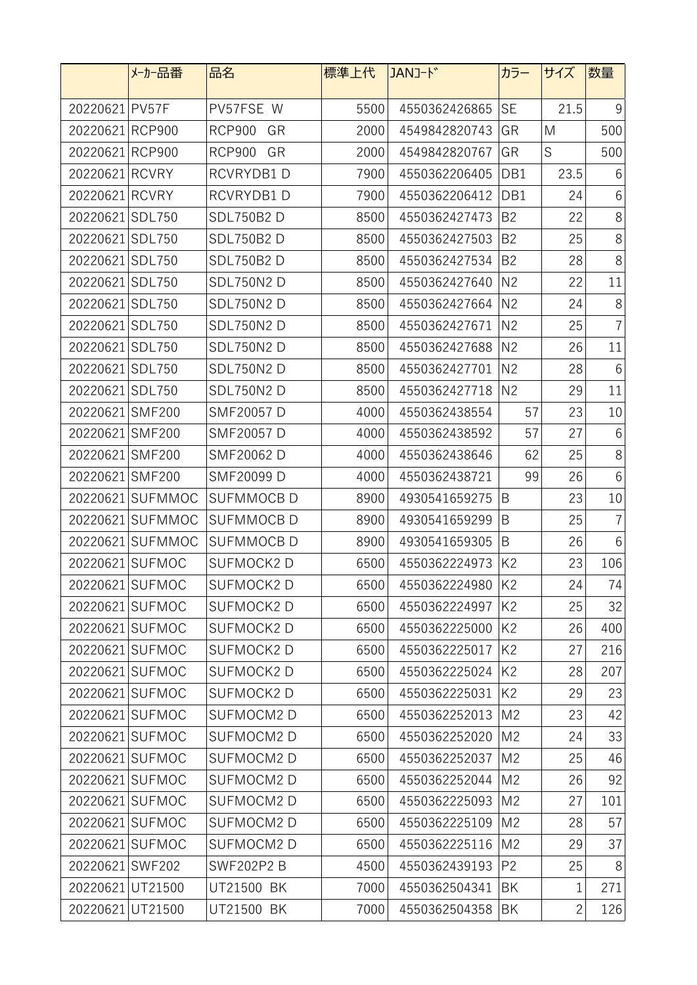|                  | メーカー品番           | 品名                  | 標準上代 | JANJ-ド        | カラー            | サイズ          | 数量             |
|------------------|------------------|---------------------|------|---------------|----------------|--------------|----------------|
| 20220621 PV57F   |                  | PV57FSE W           | 5500 | 4550362426865 | <b>SE</b>      | 21.5         | 9              |
| 20220621 RCP900  |                  | <b>RCP900</b><br>GR | 2000 | 4549842820743 | GR             | M            | 500            |
| 20220621 RCP900  |                  | <b>RCP900</b><br>GR | 2000 | 4549842820767 | GR             | S            | 500            |
| 20220621 RCVRY   |                  | RCVRYDB1D           | 7900 | 4550362206405 | DB1            | 23.5         | 6              |
| 20220621 RCVRY   |                  | RCVRYDB1D           | 7900 | 4550362206412 | DB1            | 24           | 6              |
| 20220621         | <b>SDL750</b>    | <b>SDL750B2D</b>    | 8500 | 4550362427473 | B <sub>2</sub> | 22           | $8\,$          |
| 20220621         | SDL750           | <b>SDL750B2D</b>    | 8500 | 4550362427503 | B <sub>2</sub> | 25           | 8              |
| 20220621         | <b>SDL750</b>    | <b>SDL750B2D</b>    | 8500 | 4550362427534 | B <sub>2</sub> | 28           | 8              |
| 20220621 SDL750  |                  | <b>SDL750N2D</b>    | 8500 | 4550362427640 | N <sub>2</sub> | 22           | 11             |
| 20220621 SDL750  |                  | <b>SDL750N2D</b>    | 8500 | 4550362427664 | N <sub>2</sub> | 24           | 8              |
| 20220621 SDL750  |                  | <b>SDL750N2D</b>    | 8500 | 4550362427671 | N <sub>2</sub> | 25           | $\overline{7}$ |
| 20220621         | <b>SDL750</b>    | <b>SDL750N2D</b>    | 8500 | 4550362427688 | N <sub>2</sub> | 26           | 11             |
| 20220621 SDL750  |                  | <b>SDL750N2D</b>    | 8500 | 4550362427701 | N <sub>2</sub> | 28           | 6              |
| 20220621 SDL750  |                  | <b>SDL750N2 D</b>   | 8500 | 4550362427718 | N <sub>2</sub> | 29           | 11             |
| 20220621 SMF200  |                  | SMF20057 D          | 4000 | 4550362438554 | 57             | 23           | 10             |
| 20220621 SMF200  |                  | SMF20057 D          | 4000 | 4550362438592 | 57             | 27           | 6              |
| 20220621         | <b>SMF200</b>    | SMF20062 D          | 4000 | 4550362438646 | 62             | 25           | $8\,$          |
| 20220621         | <b>SMF200</b>    | SMF20099 D          | 4000 | 4550362438721 | 99             | 26           | 6              |
| 20220621         | <b>SUFMMOC</b>   | <b>SUFMMOCB D</b>   | 8900 | 4930541659275 | B              | 23           | 10             |
| 20220621         | SUFMMOC          | <b>SUFMMOCBD</b>    | 8900 | 4930541659299 | B              | 25           | $\overline{7}$ |
|                  | 20220621 SUFMMOC | <b>SUFMMOCBD</b>    | 8900 | 4930541659305 | B              | 26           | $6\,$          |
|                  | 20220621 SUFMOC  | SUFMOCK2D           | 6500 | 4550362224973 | K <sub>2</sub> | 23           | 106            |
|                  | 20220621 SUFMOC  | SUFMOCK2D           | 6500 | 4550362224980 | K <sub>2</sub> | 24           | 74             |
|                  | 20220621 SUFMOC  | SUFMOCK2D           | 6500 | 4550362224997 | K <sub>2</sub> | 25           | 32             |
|                  | 20220621 SUFMOC  | SUFMOCK2D           | 6500 | 4550362225000 | K <sub>2</sub> | 26           | 400            |
|                  | 20220621 SUFMOC  | <b>SUFMOCK2D</b>    | 6500 | 4550362225017 | K <sub>2</sub> | 27           | 216            |
|                  | 20220621 SUFMOC  | SUFMOCK2D           | 6500 | 4550362225024 | K <sub>2</sub> | 28           | 207            |
|                  | 20220621 SUFMOC  | SUFMOCK2D           | 6500 | 4550362225031 | K <sub>2</sub> | 29           | 23             |
|                  | 20220621 SUFMOC  | SUFMOCM2D           | 6500 | 4550362252013 | M <sub>2</sub> | 23           | 42             |
|                  | 20220621 SUFMOC  | SUFMOCM2 D          | 6500 | 4550362252020 | M <sub>2</sub> | 24           | 33             |
|                  | 20220621 SUFMOC  | SUFMOCM2D           | 6500 | 4550362252037 | M <sub>2</sub> | 25           | 46             |
|                  | 20220621 SUFMOC  | SUFMOCM2D           | 6500 | 4550362252044 | M <sub>2</sub> | 26           | 92             |
|                  | 20220621 SUFMOC  | SUFMOCM2D           | 6500 | 4550362225093 | M <sub>2</sub> | 27           | 101            |
|                  | 20220621 SUFMOC  | SUFMOCM2D           | 6500 | 4550362225109 | M <sub>2</sub> | 28           | 57             |
|                  | 20220621 SUFMOC  | SUFMOCM2D           | 6500 | 4550362225116 | M <sub>2</sub> | 29           | 37             |
| 20220621 SWF202  |                  | <b>SWF202P2 B</b>   | 4500 | 4550362439193 | P <sub>2</sub> | 25           | 8              |
| 20220621 UT21500 |                  | UT21500 BK          | 7000 | 4550362504341 | BK             | $\mathbf 1$  | 271            |
| 20220621 UT21500 |                  | UT21500 BK          | 7000 | 4550362504358 | BK             | $\mathbf{2}$ | 126            |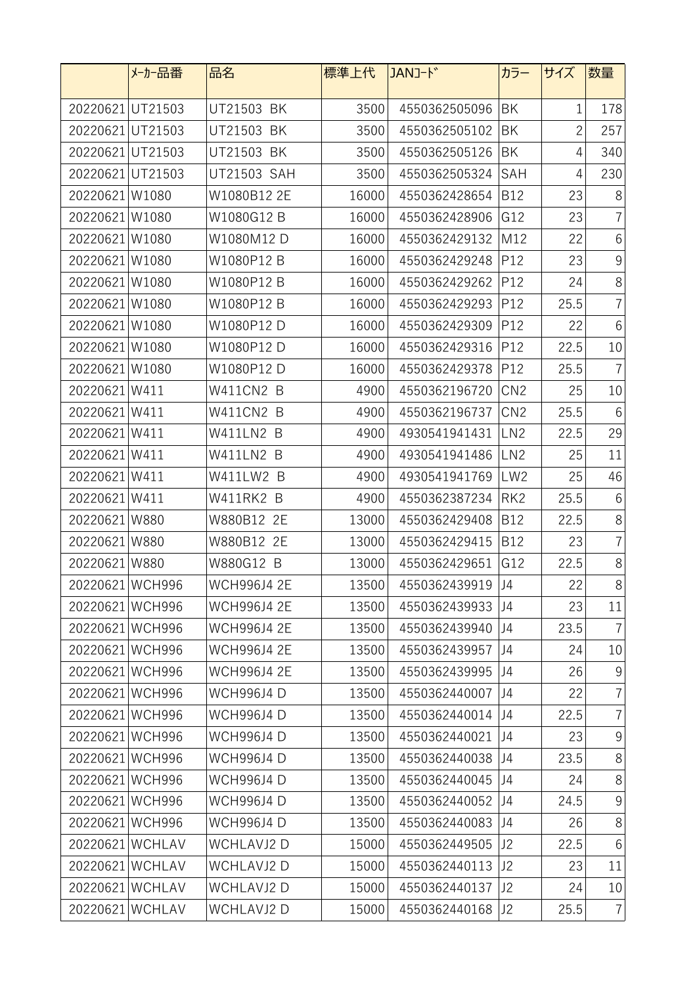|                  | メーカー品番          | 品名                 | 標準上代  | JANJ-k <sup>*</sup> | カラー             | サイズ            | 数量              |
|------------------|-----------------|--------------------|-------|---------------------|-----------------|----------------|-----------------|
| 20220621 UT21503 |                 | UT21503 BK         | 3500  | 4550362505096       | BK              | 1              | 178             |
| 20220621 UT21503 |                 | UT21503 BK         | 3500  | 4550362505102       | BK              | $\overline{c}$ | 257             |
| 20220621 UT21503 |                 | UT21503 BK         | 3500  | 4550362505126       | BK              | 4              | 340             |
| 20220621 UT21503 |                 | UT21503 SAH        | 3500  | 4550362505324       | SAH             | 4              | 230             |
| 20220621W1080    |                 | W1080B12 2E        | 16000 | 4550362428654       | <b>B12</b>      | 23             | 8               |
| 20220621         | W1080           | W1080G12 B         | 16000 | 4550362428906       | G12             | 23             | $\overline{7}$  |
| 20220621W1080    |                 | W1080M12 D         | 16000 | 4550362429132       | M12             | 22             | 6               |
| 20220621 W1080   |                 | W1080P12 B         | 16000 | 4550362429248       | P12             | 23             | 9               |
| 20220621W1080    |                 | W1080P12 B         | 16000 | 4550362429262       | P12             | 24             | $8\,$           |
| 20220621W1080    |                 | W1080P12 B         | 16000 | 4550362429293       | P12             | 25.5           | $\overline{7}$  |
| 20220621W1080    |                 | W1080P12 D         | 16000 | 4550362429309       | P12             | 22             | $6\,$           |
| 20220621W1080    |                 | W1080P12 D         | 16000 | 4550362429316       | P12             | 22.5           | 10              |
| 20220621W1080    |                 | W1080P12 D         | 16000 | 4550362429378       | P <sub>12</sub> | 25.5           | $\overline{7}$  |
| 20220621W411     |                 | W411CN2 B          | 4900  | 4550362196720       | CN <sub>2</sub> | 25             | 10              |
| 20220621W411     |                 | W411CN2 B          | 4900  | 4550362196737       | CN <sub>2</sub> | 25.5           | 6               |
| 20220621W411     |                 | W411LN2 B          | 4900  | 4930541941431       | LN <sub>2</sub> | 22.5           | 29              |
| 20220621         | W411            | W411LN2 B          | 4900  | 4930541941486       | LN <sub>2</sub> | 25             | 11              |
| 20220621W411     |                 | W411LW2 B          | 4900  | 4930541941769       | LW <sub>2</sub> | 25             | 46              |
| 20220621W411     |                 | W411RK2 B          | 4900  | 4550362387234       | RK <sub>2</sub> | 25.5           | $6\,$           |
| 20220621W880     |                 | W880B12 2E         | 13000 | 4550362429408       | <b>B12</b>      | 22.5           | $\,8\,$         |
| 20220621W880     |                 | W880B12 2E         | 13000 | 4550362429415       | <b>B12</b>      | 23             | $\overline{7}$  |
| 20220621W880     |                 | W880G12 B          | 13000 | 4550362429651       | G12             | 22.5           | $8\,$           |
| 20220621 WCH996  |                 | <b>WCH996J4 2E</b> | 13500 | 4550362439919 J4    |                 | 22             | $8\,$           |
| 20220621 WCH996  |                 | <b>WCH996J4 2E</b> | 13500 | 4550362439933       | J4              | 23             | 11              |
| 20220621 WCH996  |                 | <b>WCH996J4 2E</b> | 13500 | 4550362439940       | J4              | 23.5           | $\overline{7}$  |
| 20220621 WCH996  |                 | <b>WCH996J4 2E</b> | 13500 | 4550362439957       | J4              | 24             | 10              |
| 20220621 WCH996  |                 | <b>WCH996J4 2E</b> | 13500 | 4550362439995       | J <sub>4</sub>  | 26             | $9\,$           |
| 20220621 WCH996  |                 | <b>WCH996J4D</b>   | 13500 | 4550362440007       | IJ4             | 22             | $\overline{7}$  |
| 20220621 WCH996  |                 | <b>WCH996J4D</b>   | 13500 | 4550362440014       | J4              | 22.5           | $\overline{7}$  |
| 20220621 WCH996  |                 | <b>WCH996J4D</b>   | 13500 | 4550362440021       | J4              | 23             | 9               |
| 20220621 WCH996  |                 | <b>WCH996J4D</b>   | 13500 | 4550362440038       | J4              | 23.5           | $8\,$           |
| 20220621 WCH996  |                 | <b>WCH996J4D</b>   | 13500 | 4550362440045       | J4              | 24             | $8\,$           |
| 20220621 WCH996  |                 | <b>WCH996J4D</b>   | 13500 | 4550362440052       | J4              | 24.5           | 9               |
| 20220621 WCH996  |                 | <b>WCH996J4D</b>   | 13500 | 4550362440083       | J4              | 26             | 8               |
| 20220621 WCHLAV  |                 | WCHLAVJ2 D         | 15000 | 4550362449505       | J2              | 22.5           | $6\phantom{1}6$ |
| 20220621 WCHLAV  |                 | <b>WCHLAVJ2D</b>   | 15000 | 4550362440113       | J2              | 23             | 11              |
|                  | 20220621 WCHLAV | <b>WCHLAVJ2D</b>   | 15000 | 4550362440137       | J2              | 24             | 10              |
| 20220621 WCHLAV  |                 | WCHLAVJ2 D         | 15000 | 4550362440168       | J2              | 25.5           | $\overline{7}$  |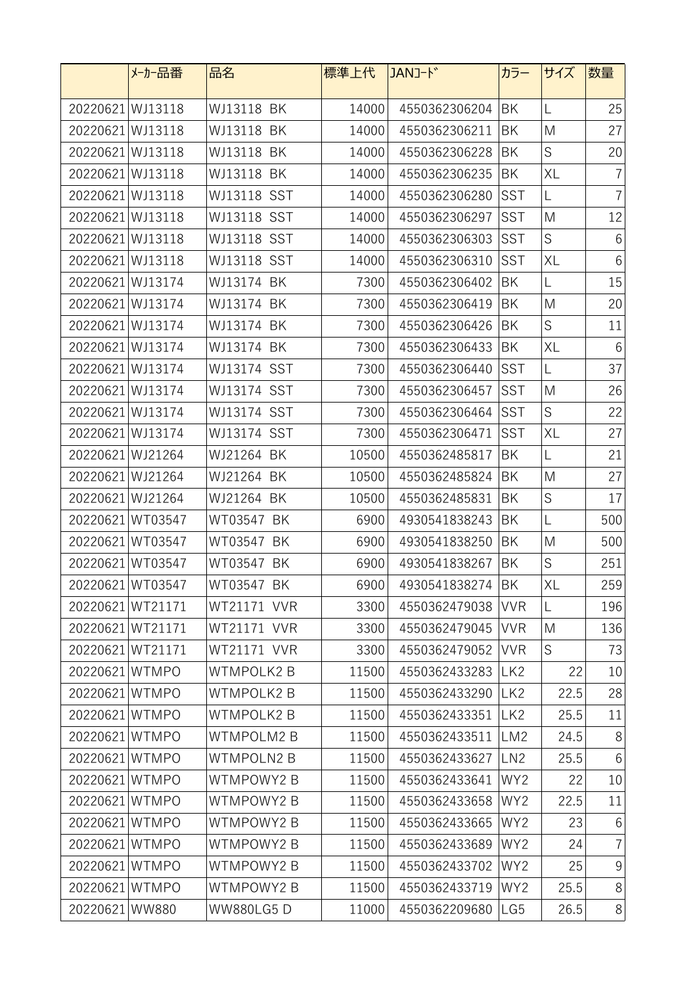|                  | メーカー品番           | 品名               | 標準上代  | JANコード        | カラー             | サイズ         | 数量              |
|------------------|------------------|------------------|-------|---------------|-----------------|-------------|-----------------|
| 20220621 WJ13118 |                  | WJ13118 BK       | 14000 | 4550362306204 | BK              | L           | 25              |
| 20220621 WJ13118 |                  | WJ13118 BK       | 14000 | 4550362306211 | BK              | M           | 27              |
| 20220621 WJ13118 |                  | WJ13118 BK       | 14000 | 4550362306228 | BK              | $\mathsf S$ | 20              |
| 20220621 WJ13118 |                  | WJ13118 BK       | 14000 | 4550362306235 | BK              | XL          | $\overline{7}$  |
| 20220621 WJ13118 |                  | WJ13118 SST      | 14000 | 4550362306280 | <b>SST</b>      | L           | $\overline{7}$  |
| 20220621 WJ13118 |                  | WJ13118 SST      | 14000 | 4550362306297 | <b>SST</b>      | M           | 12              |
| 20220621 WJ13118 |                  | WJ13118 SST      | 14000 | 4550362306303 | <b>SST</b>      | $\mathsf S$ | $6\,$           |
| 20220621 WJ13118 |                  | WJ13118 SST      | 14000 | 4550362306310 | <b>SST</b>      | XL          | $6\,$           |
| 20220621 WJ13174 |                  | WJ13174 BK       | 7300  | 4550362306402 | BK              | L           | 15              |
| 20220621 WJ13174 |                  | WJ13174 BK       | 7300  | 4550362306419 | BK              | M           | 20              |
| 20220621 WJ13174 |                  | WJ13174 BK       | 7300  | 4550362306426 | BK              | S           | 11              |
| 20220621 WJ13174 |                  | WJ13174 BK       | 7300  | 4550362306433 | BK              | XL          | $6\,$           |
| 20220621 WJ13174 |                  | WJ13174 SST      | 7300  | 4550362306440 | <b>SST</b>      | L           | 37              |
| 20220621 WJ13174 |                  | WJ13174 SST      | 7300  | 4550362306457 | <b>SST</b>      | M           | 26              |
| 20220621 WJ13174 |                  | WJ13174 SST      | 7300  | 4550362306464 | <b>SST</b>      | $\mathsf S$ | 22              |
| 20220621 WJ13174 |                  | WJ13174 SST      | 7300  | 4550362306471 | SST             | XL          | 27              |
| 20220621 WJ21264 |                  | WJ21264 BK       | 10500 | 4550362485817 | BK              | L           | 21              |
| 20220621 WJ21264 |                  | WJ21264 BK       | 10500 | 4550362485824 | BK              | M           | 27              |
| 20220621 WJ21264 |                  | WJ21264 BK       | 10500 | 4550362485831 | BK              | $\mathsf S$ | 17              |
|                  | 20220621 WT03547 | WT03547 BK       | 6900  | 4930541838243 | BK              | L           | 500             |
|                  | 20220621 WT03547 | WT03547 BK       | 6900  | 4930541838250 | BK              | M           | 500             |
|                  | 20220621 WT03547 | WT03547 BK       | 6900  | 4930541838267 | BK              | S           | 251             |
|                  | 20220621 WT03547 | WT03547 BK       | 6900  | 4930541838274 | BK              | XL          | 259             |
| 20220621WT21171  |                  | WT21171 VVR      | 3300  | 4550362479038 | <b>VVR</b>      | L           | 196             |
|                  | 20220621 WT21171 | WT21171 VVR      | 3300  | 4550362479045 | <b>VVR</b>      | M           | 136             |
|                  | 20220621 WT21171 | WT21171 VVR      | 3300  | 4550362479052 | <b>VVR</b>      | S           | 73              |
| 20220621 WTMPO   |                  | <b>WTMPOLK2B</b> | 11500 | 4550362433283 | LK <sub>2</sub> | 22          | 10              |
| 20220621WTMPO    |                  | <b>WTMPOLK2B</b> | 11500 | 4550362433290 | LK <sub>2</sub> | 22.5        | 28              |
| 20220621 WTMPO   |                  | <b>WTMPOLK2B</b> | 11500 | 4550362433351 | LK <sub>2</sub> | 25.5        | 11              |
| 20220621 WTMPO   |                  | WTMPOLM2 B       | 11500 | 4550362433511 | LM <sub>2</sub> | 24.5        | 8               |
| 20220621 WTMPO   |                  | WTMPOLN2 B       | 11500 | 4550362433627 | LN <sub>2</sub> | 25.5        | $6\,$           |
| 20220621WTMPO    |                  | WTMPOWY2 B       | 11500 | 4550362433641 | WY2             | 22          | 10              |
| 20220621 WTMPO   |                  | WTMPOWY2 B       | 11500 | 4550362433658 | WY <sub>2</sub> | 22.5        | 11              |
| 20220621 WTMPO   |                  | WTMPOWY2 B       | 11500 | 4550362433665 | WY <sub>2</sub> | 23          | $6\phantom{.}6$ |
| 20220621 WTMPO   |                  | WTMPOWY2 B       | 11500 | 4550362433689 | WY <sub>2</sub> | 24          | $\overline{7}$  |
| 20220621 WTMPO   |                  | WTMPOWY2 B       | 11500 | 4550362433702 | WY2             | 25          | $9\,$           |
| 20220621 WTMPO   |                  | WTMPOWY2 B       | 11500 | 4550362433719 | WY2             | 25.5        | $8\,$           |
| 20220621 WW880   |                  | <b>WW880LG5D</b> | 11000 | 4550362209680 | LG5             | 26.5        | $8\,$           |